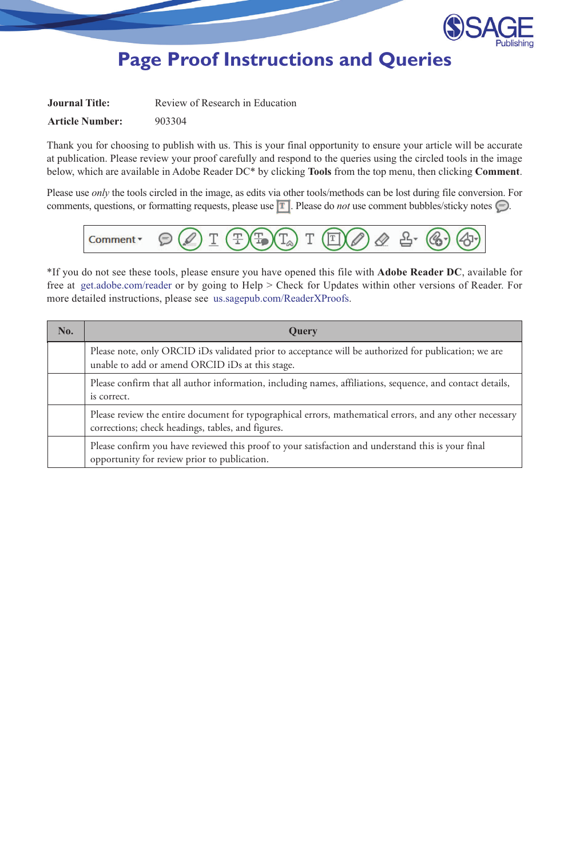

# **Page Proof Instructions and Queries**

| <b>Journal Title:</b>  | Review of Research in Education |
|------------------------|---------------------------------|
| <b>Article Number:</b> | 903304                          |

Thank you for choosing to publish with us. This is your final opportunity to ensure your article will be accurate at publication. Please review your proof carefully and respond to the queries using the circled tools in the image below, which are available in Adobe Reader DC\* by clicking **Tools** from the top menu, then clicking **Comment**.

Please use *only* the tools circled in the image, as edits via other tools/methods can be lost during file conversion. For comments, questions, or formatting requests, please use  $\mathbb{T}$ . Please do *not* use comment bubbles/sticky notes  $\bigcirc$ .



\*If you do not see these tools, please ensure you have opened this file with **Adobe Reader DC**, available for free at get.adobe.com/reader or by going to Help > Check for Updates within other versions of Reader. For more detailed instructions, please see us.sagepub.com/ReaderXProofs.

| No. | Query                                                                                                                                                         |
|-----|---------------------------------------------------------------------------------------------------------------------------------------------------------------|
|     | Please note, only ORCID iDs validated prior to acceptance will be authorized for publication; we are<br>unable to add or amend ORCID iDs at this stage.       |
|     | Please confirm that all author information, including names, affiliations, sequence, and contact details,<br>is correct.                                      |
|     | Please review the entire document for typographical errors, mathematical errors, and any other necessary<br>corrections; check headings, tables, and figures. |
|     | Please confirm you have reviewed this proof to your satisfaction and understand this is your final<br>opportunity for review prior to publication.            |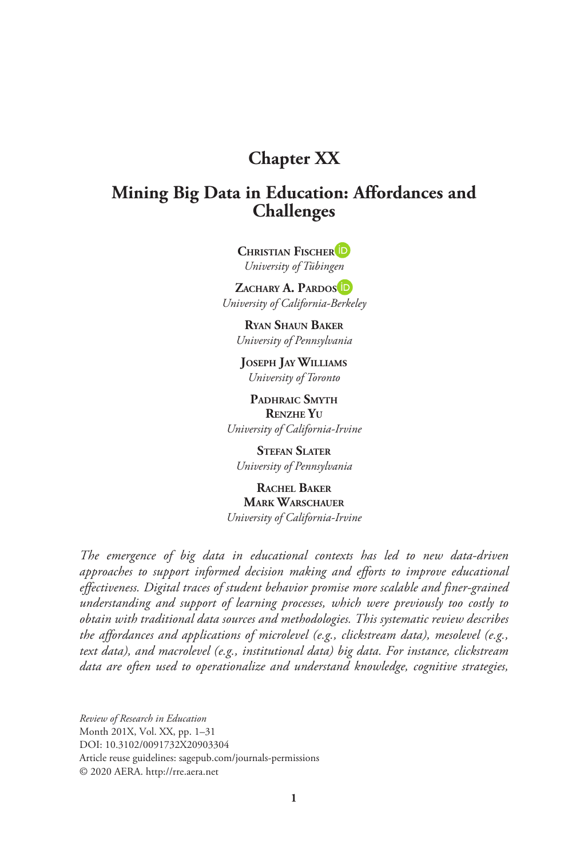## **Chapter XX**

## **Mining Big Data in Education: Affordances and Challenges**

**CHRISTIAN FISCHER<sup>ID</sup>** *University of Tübingen*

**Zachary A. Pardos** *University of California-Berkeley*

**Ryan Shaun Baker** *University of Pennsylvania*

**Joseph Jay Williams** *University of Toronto*

**Padhraic Smyth Renzhe Yu** *University of California-Irvine*

**Stefan Slater** *University of Pennsylvania*

**Rachel Baker Mark Warschauer** *University of California-Irvine*

*The emergence of big data in educational contexts has led to new data-driven approaches to support informed decision making and efforts to improve educational effectiveness. Digital traces of student behavior promise more scalable and finer-grained understanding and support of learning processes, which were previously too costly to obtain with traditional data sources and methodologies. This systematic review describes the affordances and applications of microlevel (e.g., clickstream data), mesolevel (e.g., text data), and macrolevel (e.g., institutional data) big data. For instance, clickstream data are often used to operationalize and understand knowledge, cognitive strategies,* 

https://doi.org/10.3102/0091732X20903304 DOI: 10.3102/0091732X20903304 *Review of Research in Education* Month 201X, Vol. XX, pp. 1–31 Article reuse guidelines: [sagepub.com/journals-permissions](https://us.sagepub.com/en-us/journals-permissions) © 2020 AERA. http://rre.aera.net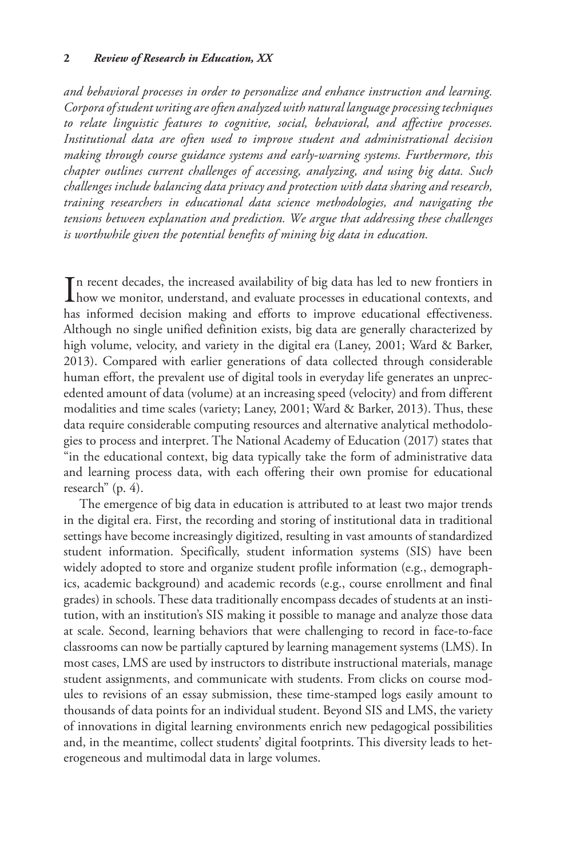#### **2** *Review of Research in Education, XX*

*and behavioral processes in order to personalize and enhance instruction and learning. Corpora of student writing are often analyzed with natural language processing techniques to relate linguistic features to cognitive, social, behavioral, and affective processes. Institutional data are often used to improve student and administrational decision making through course guidance systems and early-warning systems. Furthermore, this chapter outlines current challenges of accessing, analyzing, and using big data. Such challenges include balancing data privacy and protection with data sharing and research, training researchers in educational data science methodologies, and navigating the tensions between explanation and prediction. We argue that addressing these challenges is worthwhile given the potential benefits of mining big data in education.*

In recent decades, the increased availability of big data has led to new frontiers in how we monitor, understand, and evaluate processes in educational contexts, and n recent decades, the increased availability of big data has led to new frontiers in has informed decision making and efforts to improve educational effectiveness. Although no single unified definition exists, big data are generally characterized by high volume, velocity, and variety in the digital era (Laney, 2001; Ward & Barker, 2013). Compared with earlier generations of data collected through considerable human effort, the prevalent use of digital tools in everyday life generates an unprecedented amount of data (volume) at an increasing speed (velocity) and from different modalities and time scales (variety; Laney, 2001; Ward & Barker, 2013). Thus, these data require considerable computing resources and alternative analytical methodologies to process and interpret. The National Academy of Education (2017) states that "in the educational context, big data typically take the form of administrative data and learning process data, with each offering their own promise for educational research" (p. 4).

The emergence of big data in education is attributed to at least two major trends in the digital era. First, the recording and storing of institutional data in traditional settings have become increasingly digitized, resulting in vast amounts of standardized student information. Specifically, student information systems (SIS) have been widely adopted to store and organize student profile information (e.g., demographics, academic background) and academic records (e.g., course enrollment and final grades) in schools. These data traditionally encompass decades of students at an institution, with an institution's SIS making it possible to manage and analyze those data at scale. Second, learning behaviors that were challenging to record in face-to-face classrooms can now be partially captured by learning management systems (LMS). In most cases, LMS are used by instructors to distribute instructional materials, manage student assignments, and communicate with students. From clicks on course modules to revisions of an essay submission, these time-stamped logs easily amount to thousands of data points for an individual student. Beyond SIS and LMS, the variety of innovations in digital learning environments enrich new pedagogical possibilities and, in the meantime, collect students' digital footprints. This diversity leads to heterogeneous and multimodal data in large volumes.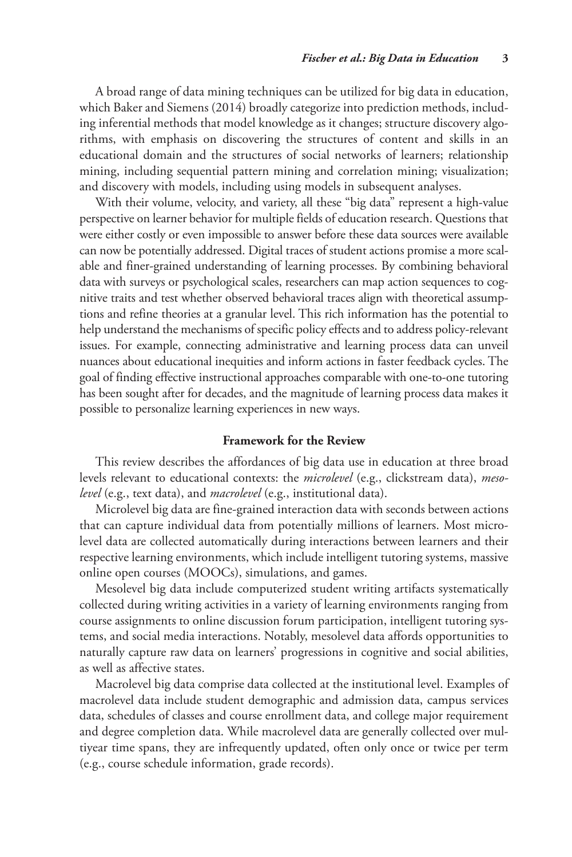A broad range of data mining techniques can be utilized for big data in education, which Baker and Siemens (2014) broadly categorize into prediction methods, including inferential methods that model knowledge as it changes; structure discovery algorithms, with emphasis on discovering the structures of content and skills in an educational domain and the structures of social networks of learners; relationship mining, including sequential pattern mining and correlation mining; visualization; and discovery with models, including using models in subsequent analyses.

With their volume, velocity, and variety, all these "big data" represent a high-value perspective on learner behavior for multiple fields of education research. Questions that were either costly or even impossible to answer before these data sources were available can now be potentially addressed. Digital traces of student actions promise a more scalable and finer-grained understanding of learning processes. By combining behavioral data with surveys or psychological scales, researchers can map action sequences to cognitive traits and test whether observed behavioral traces align with theoretical assumptions and refine theories at a granular level. This rich information has the potential to help understand the mechanisms of specific policy effects and to address policy-relevant issues. For example, connecting administrative and learning process data can unveil nuances about educational inequities and inform actions in faster feedback cycles. The goal of finding effective instructional approaches comparable with one-to-one tutoring has been sought after for decades, and the magnitude of learning process data makes it possible to personalize learning experiences in new ways.

## **Framework for the Review**

This review describes the affordances of big data use in education at three broad levels relevant to educational contexts: the *microlevel* (e.g., clickstream data), *mesolevel* (e.g., text data), and *macrolevel* (e.g., institutional data).

Microlevel big data are fine-grained interaction data with seconds between actions that can capture individual data from potentially millions of learners. Most microlevel data are collected automatically during interactions between learners and their respective learning environments, which include intelligent tutoring systems, massive online open courses (MOOCs), simulations, and games.

Mesolevel big data include computerized student writing artifacts systematically collected during writing activities in a variety of learning environments ranging from course assignments to online discussion forum participation, intelligent tutoring systems, and social media interactions. Notably, mesolevel data affords opportunities to naturally capture raw data on learners' progressions in cognitive and social abilities, as well as affective states.

Macrolevel big data comprise data collected at the institutional level. Examples of macrolevel data include student demographic and admission data, campus services data, schedules of classes and course enrollment data, and college major requirement and degree completion data. While macrolevel data are generally collected over multiyear time spans, they are infrequently updated, often only once or twice per term (e.g., course schedule information, grade records).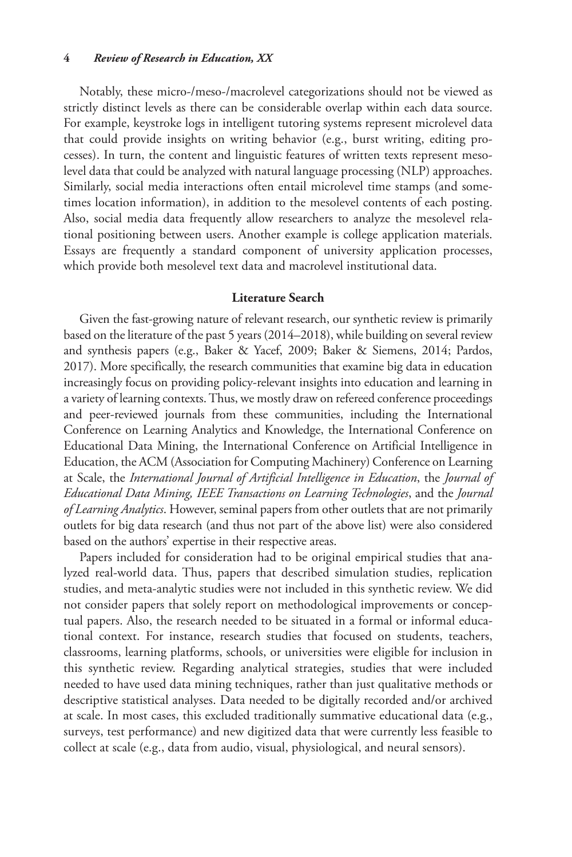#### **4** *Review of Research in Education, XX*

Notably, these micro-/meso-/macrolevel categorizations should not be viewed as strictly distinct levels as there can be considerable overlap within each data source. For example, keystroke logs in intelligent tutoring systems represent microlevel data that could provide insights on writing behavior (e.g., burst writing, editing processes). In turn, the content and linguistic features of written texts represent mesolevel data that could be analyzed with natural language processing (NLP) approaches. Similarly, social media interactions often entail microlevel time stamps (and sometimes location information), in addition to the mesolevel contents of each posting. Also, social media data frequently allow researchers to analyze the mesolevel relational positioning between users. Another example is college application materials. Essays are frequently a standard component of university application processes, which provide both mesolevel text data and macrolevel institutional data.

#### **Literature Search**

Given the fast-growing nature of relevant research, our synthetic review is primarily based on the literature of the past 5 years (2014–2018), while building on several review and synthesis papers (e.g., Baker & Yacef, 2009; Baker & Siemens, 2014; Pardos, 2017). More specifically, the research communities that examine big data in education increasingly focus on providing policy-relevant insights into education and learning in a variety of learning contexts. Thus, we mostly draw on refereed conference proceedings and peer-reviewed journals from these communities, including the International Conference on Learning Analytics and Knowledge, the International Conference on Educational Data Mining, the International Conference on Artificial Intelligence in Education, the ACM (Association for Computing Machinery) Conference on Learning at Scale, the *International Journal of Artificial Intelligence in Education*, the *Journal of Educational Data Mining, IEEE Transactions on Learning Technologies*, and the *Journal of Learning Analytics*. However, seminal papers from other outlets that are not primarily outlets for big data research (and thus not part of the above list) were also considered based on the authors' expertise in their respective areas.

Papers included for consideration had to be original empirical studies that analyzed real-world data. Thus, papers that described simulation studies, replication studies, and meta-analytic studies were not included in this synthetic review. We did not consider papers that solely report on methodological improvements or conceptual papers. Also, the research needed to be situated in a formal or informal educational context. For instance, research studies that focused on students, teachers, classrooms, learning platforms, schools, or universities were eligible for inclusion in this synthetic review. Regarding analytical strategies, studies that were included needed to have used data mining techniques, rather than just qualitative methods or descriptive statistical analyses. Data needed to be digitally recorded and/or archived at scale. In most cases, this excluded traditionally summative educational data (e.g., surveys, test performance) and new digitized data that were currently less feasible to collect at scale (e.g., data from audio, visual, physiological, and neural sensors).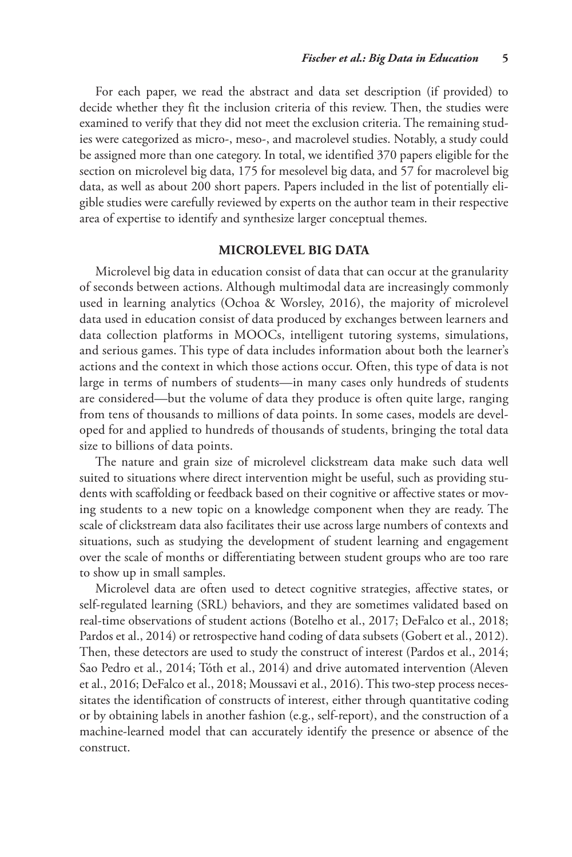For each paper, we read the abstract and data set description (if provided) to decide whether they fit the inclusion criteria of this review. Then, the studies were examined to verify that they did not meet the exclusion criteria. The remaining studies were categorized as micro-, meso-, and macrolevel studies. Notably, a study could be assigned more than one category. In total, we identified 370 papers eligible for the section on microlevel big data, 175 for mesolevel big data, and 57 for macrolevel big data, as well as about 200 short papers. Papers included in the list of potentially eligible studies were carefully reviewed by experts on the author team in their respective area of expertise to identify and synthesize larger conceptual themes.

## **Microlevel Big Data**

Microlevel big data in education consist of data that can occur at the granularity of seconds between actions. Although multimodal data are increasingly commonly used in learning analytics (Ochoa & Worsley, 2016), the majority of microlevel data used in education consist of data produced by exchanges between learners and data collection platforms in MOOCs, intelligent tutoring systems, simulations, and serious games. This type of data includes information about both the learner's actions and the context in which those actions occur. Often, this type of data is not large in terms of numbers of students—in many cases only hundreds of students are considered—but the volume of data they produce is often quite large, ranging from tens of thousands to millions of data points. In some cases, models are developed for and applied to hundreds of thousands of students, bringing the total data size to billions of data points.

The nature and grain size of microlevel clickstream data make such data well suited to situations where direct intervention might be useful, such as providing students with scaffolding or feedback based on their cognitive or affective states or moving students to a new topic on a knowledge component when they are ready. The scale of clickstream data also facilitates their use across large numbers of contexts and situations, such as studying the development of student learning and engagement over the scale of months or differentiating between student groups who are too rare to show up in small samples.

Microlevel data are often used to detect cognitive strategies, affective states, or self-regulated learning (SRL) behaviors, and they are sometimes validated based on real-time observations of student actions (Botelho et al., 2017; DeFalco et al., 2018; Pardos et al., 2014) or retrospective hand coding of data subsets (Gobert et al., 2012). Then, these detectors are used to study the construct of interest (Pardos et al., 2014; Sao Pedro et al., 2014; Tóth et al., 2014) and drive automated intervention (Aleven et al., 2016; DeFalco et al., 2018; Moussavi et al., 2016). This two-step process necessitates the identification of constructs of interest, either through quantitative coding or by obtaining labels in another fashion (e.g., self-report), and the construction of a machine-learned model that can accurately identify the presence or absence of the construct.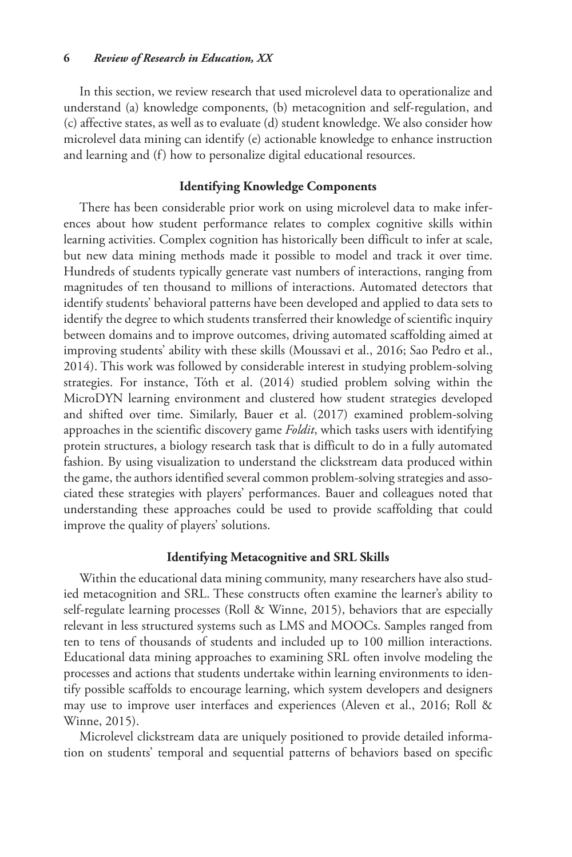#### **6** *Review of Research in Education, XX*

In this section, we review research that used microlevel data to operationalize and understand (a) knowledge components, (b) metacognition and self-regulation, and (c) affective states, as well as to evaluate (d) student knowledge. We also consider how microlevel data mining can identify (e) actionable knowledge to enhance instruction and learning and (f) how to personalize digital educational resources.

## **Identifying Knowledge Components**

There has been considerable prior work on using microlevel data to make inferences about how student performance relates to complex cognitive skills within learning activities. Complex cognition has historically been difficult to infer at scale, but new data mining methods made it possible to model and track it over time. Hundreds of students typically generate vast numbers of interactions, ranging from magnitudes of ten thousand to millions of interactions. Automated detectors that identify students' behavioral patterns have been developed and applied to data sets to identify the degree to which students transferred their knowledge of scientific inquiry between domains and to improve outcomes, driving automated scaffolding aimed at improving students' ability with these skills (Moussavi et al., 2016; Sao Pedro et al., 2014). This work was followed by considerable interest in studying problem-solving strategies. For instance, Tóth et al. (2014) studied problem solving within the MicroDYN learning environment and clustered how student strategies developed and shifted over time. Similarly, Bauer et al. (2017) examined problem-solving approaches in the scientific discovery game *Foldit*, which tasks users with identifying protein structures, a biology research task that is difficult to do in a fully automated fashion. By using visualization to understand the clickstream data produced within the game, the authors identified several common problem-solving strategies and associated these strategies with players' performances. Bauer and colleagues noted that understanding these approaches could be used to provide scaffolding that could improve the quality of players' solutions.

### **Identifying Metacognitive and SRL Skills**

Within the educational data mining community, many researchers have also studied metacognition and SRL. These constructs often examine the learner's ability to self-regulate learning processes (Roll & Winne, 2015), behaviors that are especially relevant in less structured systems such as LMS and MOOCs. Samples ranged from ten to tens of thousands of students and included up to 100 million interactions. Educational data mining approaches to examining SRL often involve modeling the processes and actions that students undertake within learning environments to identify possible scaffolds to encourage learning, which system developers and designers may use to improve user interfaces and experiences (Aleven et al., 2016; Roll & Winne, 2015).

Microlevel clickstream data are uniquely positioned to provide detailed information on students' temporal and sequential patterns of behaviors based on specific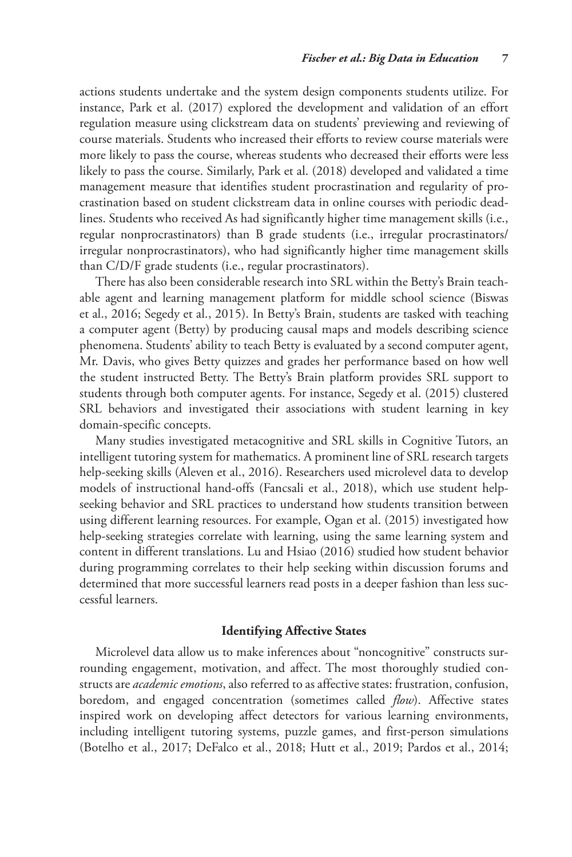actions students undertake and the system design components students utilize. For instance, Park et al. (2017) explored the development and validation of an effort regulation measure using clickstream data on students' previewing and reviewing of course materials. Students who increased their efforts to review course materials were more likely to pass the course, whereas students who decreased their efforts were less likely to pass the course. Similarly, Park et al. (2018) developed and validated a time management measure that identifies student procrastination and regularity of procrastination based on student clickstream data in online courses with periodic deadlines. Students who received As had significantly higher time management skills (i.e., regular nonprocrastinators) than B grade students (i.e., irregular procrastinators/ irregular nonprocrastinators), who had significantly higher time management skills than C/D/F grade students (i.e., regular procrastinators).

There has also been considerable research into SRL within the Betty's Brain teachable agent and learning management platform for middle school science (Biswas et al., 2016; Segedy et al., 2015). In Betty's Brain, students are tasked with teaching a computer agent (Betty) by producing causal maps and models describing science phenomena. Students' ability to teach Betty is evaluated by a second computer agent, Mr. Davis, who gives Betty quizzes and grades her performance based on how well the student instructed Betty. The Betty's Brain platform provides SRL support to students through both computer agents. For instance, Segedy et al. (2015) clustered SRL behaviors and investigated their associations with student learning in key domain-specific concepts.

Many studies investigated metacognitive and SRL skills in Cognitive Tutors, an intelligent tutoring system for mathematics. A prominent line of SRL research targets help-seeking skills (Aleven et al., 2016). Researchers used microlevel data to develop models of instructional hand-offs (Fancsali et al., 2018), which use student helpseeking behavior and SRL practices to understand how students transition between using different learning resources. For example, Ogan et al. (2015) investigated how help-seeking strategies correlate with learning, using the same learning system and content in different translations. Lu and Hsiao (2016) studied how student behavior during programming correlates to their help seeking within discussion forums and determined that more successful learners read posts in a deeper fashion than less successful learners.

## **Identifying Affective States**

Microlevel data allow us to make inferences about "noncognitive" constructs surrounding engagement, motivation, and affect. The most thoroughly studied constructs are *academic emotions*, also referred to as affective states: frustration, confusion, boredom, and engaged concentration (sometimes called *flow*). Affective states inspired work on developing affect detectors for various learning environments, including intelligent tutoring systems, puzzle games, and first-person simulations (Botelho et al., 2017; DeFalco et al., 2018; Hutt et al., 2019; Pardos et al., 2014;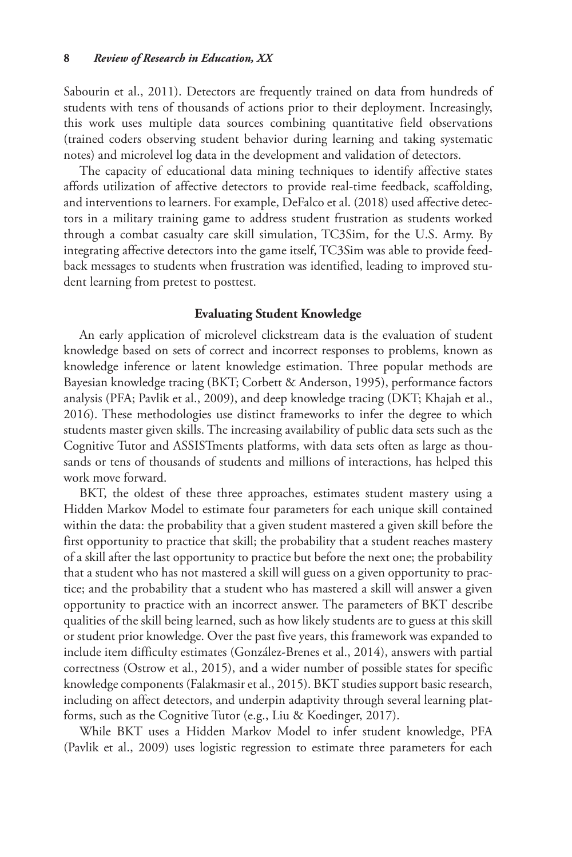Sabourin et al., 2011). Detectors are frequently trained on data from hundreds of students with tens of thousands of actions prior to their deployment. Increasingly, this work uses multiple data sources combining quantitative field observations (trained coders observing student behavior during learning and taking systematic notes) and microlevel log data in the development and validation of detectors.

The capacity of educational data mining techniques to identify affective states affords utilization of affective detectors to provide real-time feedback, scaffolding, and interventions to learners. For example, DeFalco et al. (2018) used affective detectors in a military training game to address student frustration as students worked through a combat casualty care skill simulation, TC3Sim, for the U.S. Army. By integrating affective detectors into the game itself, TC3Sim was able to provide feedback messages to students when frustration was identified, leading to improved student learning from pretest to posttest.

### **Evaluating Student Knowledge**

An early application of microlevel clickstream data is the evaluation of student knowledge based on sets of correct and incorrect responses to problems, known as knowledge inference or latent knowledge estimation. Three popular methods are Bayesian knowledge tracing (BKT; Corbett & Anderson, 1995), performance factors analysis (PFA; Pavlik et al., 2009), and deep knowledge tracing (DKT; Khajah et al., 2016). These methodologies use distinct frameworks to infer the degree to which students master given skills. The increasing availability of public data sets such as the Cognitive Tutor and ASSISTments platforms, with data sets often as large as thousands or tens of thousands of students and millions of interactions, has helped this work move forward.

BKT, the oldest of these three approaches, estimates student mastery using a Hidden Markov Model to estimate four parameters for each unique skill contained within the data: the probability that a given student mastered a given skill before the first opportunity to practice that skill; the probability that a student reaches mastery of a skill after the last opportunity to practice but before the next one; the probability that a student who has not mastered a skill will guess on a given opportunity to practice; and the probability that a student who has mastered a skill will answer a given opportunity to practice with an incorrect answer. The parameters of BKT describe qualities of the skill being learned, such as how likely students are to guess at this skill or student prior knowledge. Over the past five years, this framework was expanded to include item difficulty estimates (González-Brenes et al., 2014), answers with partial correctness (Ostrow et al., 2015), and a wider number of possible states for specific knowledge components (Falakmasir et al., 2015). BKT studies support basic research, including on affect detectors, and underpin adaptivity through several learning platforms, such as the Cognitive Tutor (e.g., Liu & Koedinger, 2017).

While BKT uses a Hidden Markov Model to infer student knowledge, PFA (Pavlik et al., 2009) uses logistic regression to estimate three parameters for each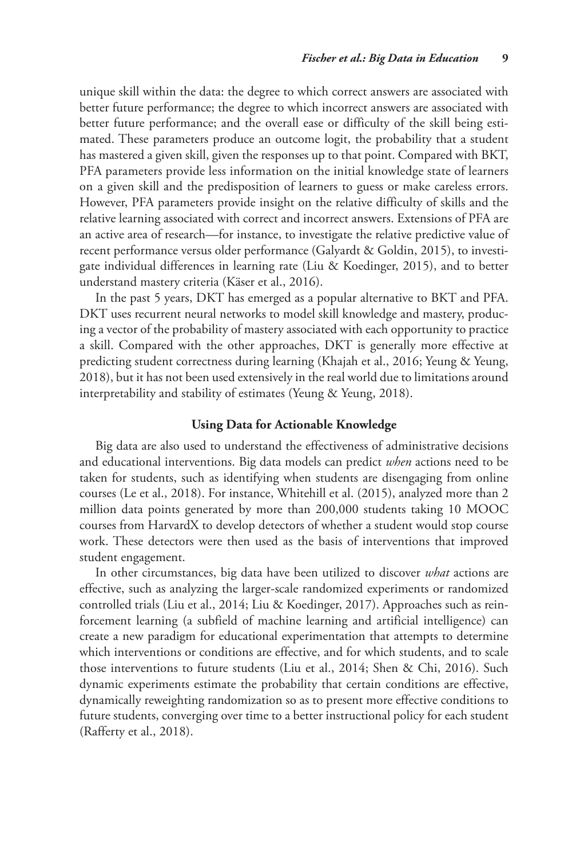unique skill within the data: the degree to which correct answers are associated with better future performance; the degree to which incorrect answers are associated with better future performance; and the overall ease or difficulty of the skill being estimated. These parameters produce an outcome logit, the probability that a student has mastered a given skill, given the responses up to that point. Compared with BKT, PFA parameters provide less information on the initial knowledge state of learners on a given skill and the predisposition of learners to guess or make careless errors. However, PFA parameters provide insight on the relative difficulty of skills and the relative learning associated with correct and incorrect answers. Extensions of PFA are an active area of research—for instance, to investigate the relative predictive value of recent performance versus older performance (Galyardt & Goldin, 2015), to investigate individual differences in learning rate (Liu & Koedinger, 2015), and to better understand mastery criteria (Käser et al., 2016).

In the past 5 years, DKT has emerged as a popular alternative to BKT and PFA. DKT uses recurrent neural networks to model skill knowledge and mastery, producing a vector of the probability of mastery associated with each opportunity to practice a skill. Compared with the other approaches, DKT is generally more effective at predicting student correctness during learning (Khajah et al., 2016; Yeung & Yeung, 2018), but it has not been used extensively in the real world due to limitations around interpretability and stability of estimates (Yeung & Yeung, 2018).

## **Using Data for Actionable Knowledge**

Big data are also used to understand the effectiveness of administrative decisions and educational interventions. Big data models can predict *when* actions need to be taken for students, such as identifying when students are disengaging from online courses (Le et al., 2018). For instance, Whitehill et al. (2015), analyzed more than 2 million data points generated by more than 200,000 students taking 10 MOOC courses from HarvardX to develop detectors of whether a student would stop course work. These detectors were then used as the basis of interventions that improved student engagement.

In other circumstances, big data have been utilized to discover *what* actions are effective, such as analyzing the larger-scale randomized experiments or randomized controlled trials (Liu et al., 2014; Liu & Koedinger, 2017). Approaches such as reinforcement learning (a subfield of machine learning and artificial intelligence) can create a new paradigm for educational experimentation that attempts to determine which interventions or conditions are effective, and for which students, and to scale those interventions to future students (Liu et al., 2014; Shen & Chi, 2016). Such dynamic experiments estimate the probability that certain conditions are effective, dynamically reweighting randomization so as to present more effective conditions to future students, converging over time to a better instructional policy for each student (Rafferty et al., 2018).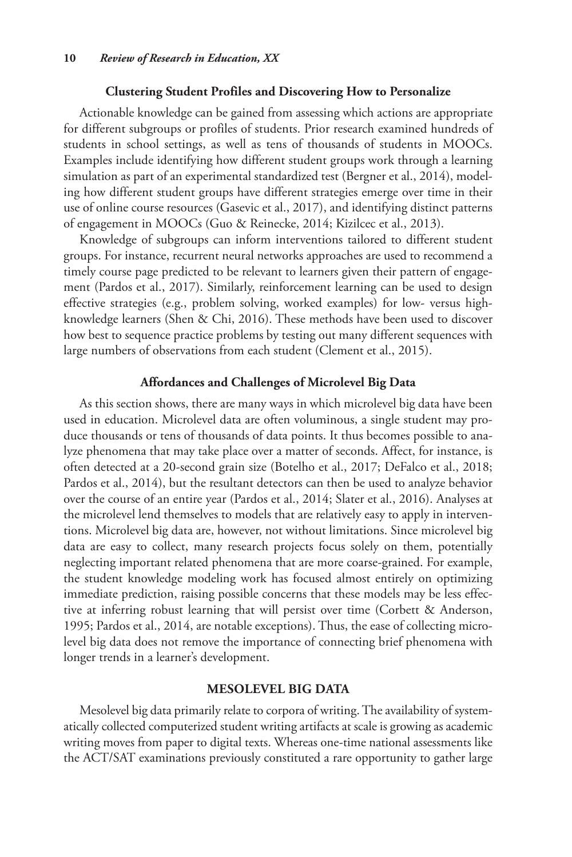#### **Clustering Student Profiles and Discovering How to Personalize**

Actionable knowledge can be gained from assessing which actions are appropriate for different subgroups or profiles of students. Prior research examined hundreds of students in school settings, as well as tens of thousands of students in MOOCs. Examples include identifying how different student groups work through a learning simulation as part of an experimental standardized test (Bergner et al., 2014), modeling how different student groups have different strategies emerge over time in their use of online course resources (Gasevic et al., 2017), and identifying distinct patterns of engagement in MOOCs (Guo & Reinecke, 2014; Kizilcec et al., 2013).

Knowledge of subgroups can inform interventions tailored to different student groups. For instance, recurrent neural networks approaches are used to recommend a timely course page predicted to be relevant to learners given their pattern of engagement (Pardos et al., 2017). Similarly, reinforcement learning can be used to design effective strategies (e.g., problem solving, worked examples) for low- versus highknowledge learners (Shen & Chi, 2016). These methods have been used to discover how best to sequence practice problems by testing out many different sequences with large numbers of observations from each student (Clement et al., 2015).

## **Affordances and Challenges of Microlevel Big Data**

As this section shows, there are many ways in which microlevel big data have been used in education. Microlevel data are often voluminous, a single student may produce thousands or tens of thousands of data points. It thus becomes possible to analyze phenomena that may take place over a matter of seconds. Affect, for instance, is often detected at a 20-second grain size (Botelho et al., 2017; DeFalco et al., 2018; Pardos et al., 2014), but the resultant detectors can then be used to analyze behavior over the course of an entire year (Pardos et al., 2014; Slater et al., 2016). Analyses at the microlevel lend themselves to models that are relatively easy to apply in interventions. Microlevel big data are, however, not without limitations. Since microlevel big data are easy to collect, many research projects focus solely on them, potentially neglecting important related phenomena that are more coarse-grained. For example, the student knowledge modeling work has focused almost entirely on optimizing immediate prediction, raising possible concerns that these models may be less effective at inferring robust learning that will persist over time (Corbett & Anderson, 1995; Pardos et al., 2014, are notable exceptions). Thus, the ease of collecting microlevel big data does not remove the importance of connecting brief phenomena with longer trends in a learner's development.

## **Mesolevel Big Data**

Mesolevel big data primarily relate to corpora of writing. The availability of systematically collected computerized student writing artifacts at scale is growing as academic writing moves from paper to digital texts. Whereas one-time national assessments like the ACT/SAT examinations previously constituted a rare opportunity to gather large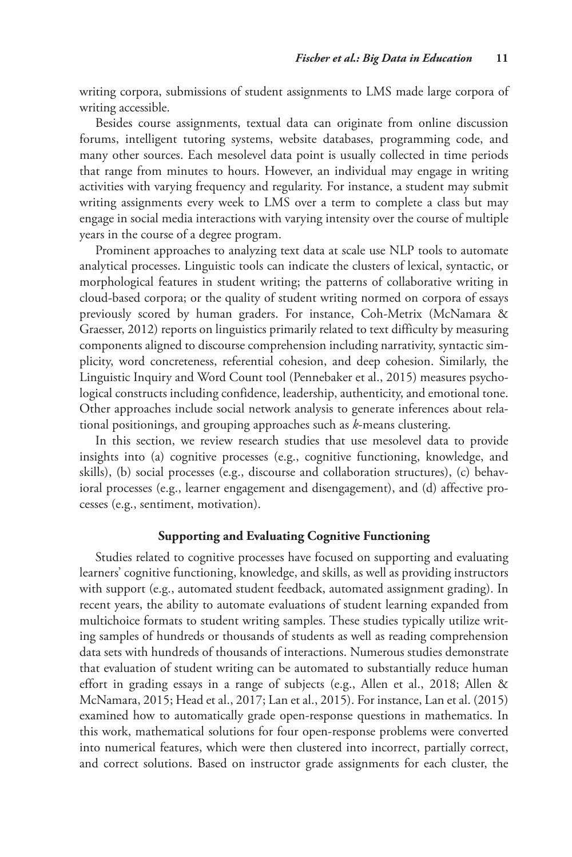writing corpora, submissions of student assignments to LMS made large corpora of writing accessible.

Besides course assignments, textual data can originate from online discussion forums, intelligent tutoring systems, website databases, programming code, and many other sources. Each mesolevel data point is usually collected in time periods that range from minutes to hours. However, an individual may engage in writing activities with varying frequency and regularity. For instance, a student may submit writing assignments every week to LMS over a term to complete a class but may engage in social media interactions with varying intensity over the course of multiple years in the course of a degree program.

Prominent approaches to analyzing text data at scale use NLP tools to automate analytical processes. Linguistic tools can indicate the clusters of lexical, syntactic, or morphological features in student writing; the patterns of collaborative writing in cloud-based corpora; or the quality of student writing normed on corpora of essays previously scored by human graders. For instance, Coh-Metrix (McNamara & Graesser, 2012) reports on linguistics primarily related to text difficulty by measuring components aligned to discourse comprehension including narrativity, syntactic simplicity, word concreteness, referential cohesion, and deep cohesion. Similarly, the Linguistic Inquiry and Word Count tool (Pennebaker et al., 2015) measures psychological constructs including confidence, leadership, authenticity, and emotional tone. Other approaches include social network analysis to generate inferences about relational positionings, and grouping approaches such as *k*-means clustering.

In this section, we review research studies that use mesolevel data to provide insights into (a) cognitive processes (e.g., cognitive functioning, knowledge, and skills), (b) social processes (e.g., discourse and collaboration structures), (c) behavioral processes (e.g., learner engagement and disengagement), and (d) affective processes (e.g., sentiment, motivation).

## **Supporting and Evaluating Cognitive Functioning**

Studies related to cognitive processes have focused on supporting and evaluating learners' cognitive functioning, knowledge, and skills, as well as providing instructors with support (e.g., automated student feedback, automated assignment grading). In recent years, the ability to automate evaluations of student learning expanded from multichoice formats to student writing samples. These studies typically utilize writing samples of hundreds or thousands of students as well as reading comprehension data sets with hundreds of thousands of interactions. Numerous studies demonstrate that evaluation of student writing can be automated to substantially reduce human effort in grading essays in a range of subjects (e.g., Allen et al., 2018; Allen & McNamara, 2015; Head et al., 2017; Lan et al., 2015). For instance, Lan et al. (2015) examined how to automatically grade open-response questions in mathematics. In this work, mathematical solutions for four open-response problems were converted into numerical features, which were then clustered into incorrect, partially correct, and correct solutions. Based on instructor grade assignments for each cluster, the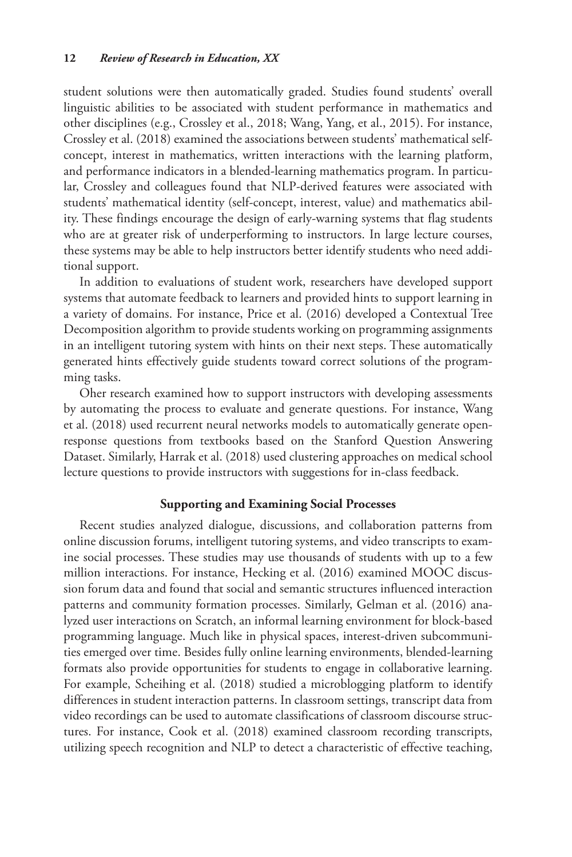student solutions were then automatically graded. Studies found students' overall linguistic abilities to be associated with student performance in mathematics and other disciplines (e.g., Crossley et al., 2018; Wang, Yang, et al., 2015). For instance, Crossley et al. (2018) examined the associations between students' mathematical selfconcept, interest in mathematics, written interactions with the learning platform, and performance indicators in a blended-learning mathematics program. In particular, Crossley and colleagues found that NLP-derived features were associated with students' mathematical identity (self-concept, interest, value) and mathematics ability. These findings encourage the design of early-warning systems that flag students who are at greater risk of underperforming to instructors. In large lecture courses, these systems may be able to help instructors better identify students who need additional support.

In addition to evaluations of student work, researchers have developed support systems that automate feedback to learners and provided hints to support learning in a variety of domains. For instance, Price et al. (2016) developed a Contextual Tree Decomposition algorithm to provide students working on programming assignments in an intelligent tutoring system with hints on their next steps. These automatically generated hints effectively guide students toward correct solutions of the programming tasks.

Oher research examined how to support instructors with developing assessments by automating the process to evaluate and generate questions. For instance, Wang et al. (2018) used recurrent neural networks models to automatically generate openresponse questions from textbooks based on the Stanford Question Answering Dataset. Similarly, Harrak et al. (2018) used clustering approaches on medical school lecture questions to provide instructors with suggestions for in-class feedback.

## **Supporting and Examining Social Processes**

Recent studies analyzed dialogue, discussions, and collaboration patterns from online discussion forums, intelligent tutoring systems, and video transcripts to examine social processes. These studies may use thousands of students with up to a few million interactions. For instance, Hecking et al. (2016) examined MOOC discussion forum data and found that social and semantic structures influenced interaction patterns and community formation processes. Similarly, Gelman et al. (2016) analyzed user interactions on Scratch, an informal learning environment for block-based programming language. Much like in physical spaces, interest-driven subcommunities emerged over time. Besides fully online learning environments, blended-learning formats also provide opportunities for students to engage in collaborative learning. For example, Scheihing et al. (2018) studied a microblogging platform to identify differences in student interaction patterns. In classroom settings, transcript data from video recordings can be used to automate classifications of classroom discourse structures. For instance, Cook et al. (2018) examined classroom recording transcripts, utilizing speech recognition and NLP to detect a characteristic of effective teaching,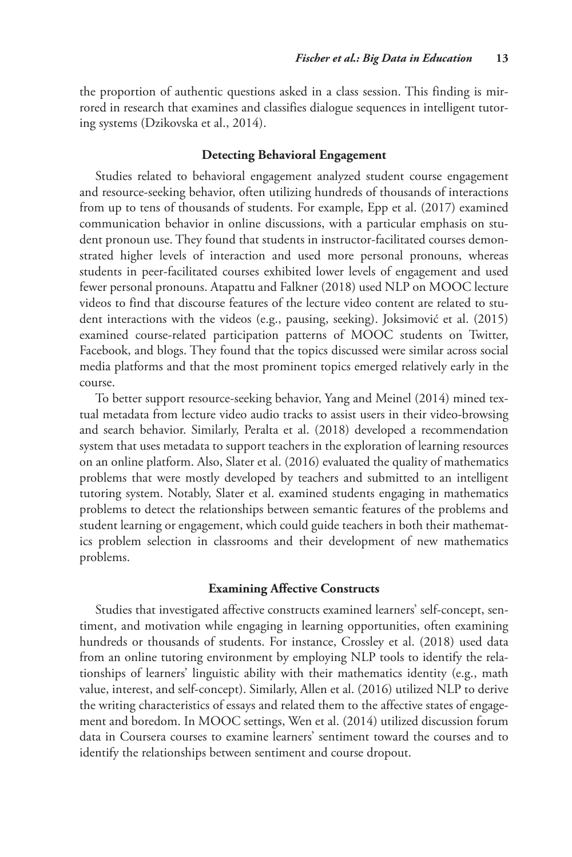the proportion of authentic questions asked in a class session. This finding is mirrored in research that examines and classifies dialogue sequences in intelligent tutoring systems (Dzikovska et al., 2014).

#### **Detecting Behavioral Engagement**

Studies related to behavioral engagement analyzed student course engagement and resource-seeking behavior, often utilizing hundreds of thousands of interactions from up to tens of thousands of students. For example, Epp et al. (2017) examined communication behavior in online discussions, with a particular emphasis on student pronoun use. They found that students in instructor-facilitated courses demonstrated higher levels of interaction and used more personal pronouns, whereas students in peer-facilitated courses exhibited lower levels of engagement and used fewer personal pronouns. Atapattu and Falkner (2018) used NLP on MOOC lecture videos to find that discourse features of the lecture video content are related to student interactions with the videos (e.g., pausing, seeking). Joksimović et al. (2015) examined course-related participation patterns of MOOC students on Twitter, Facebook, and blogs. They found that the topics discussed were similar across social media platforms and that the most prominent topics emerged relatively early in the course.

To better support resource-seeking behavior, Yang and Meinel (2014) mined textual metadata from lecture video audio tracks to assist users in their video-browsing and search behavior. Similarly, Peralta et al. (2018) developed a recommendation system that uses metadata to support teachers in the exploration of learning resources on an online platform. Also, Slater et al. (2016) evaluated the quality of mathematics problems that were mostly developed by teachers and submitted to an intelligent tutoring system. Notably, Slater et al. examined students engaging in mathematics problems to detect the relationships between semantic features of the problems and student learning or engagement, which could guide teachers in both their mathematics problem selection in classrooms and their development of new mathematics problems.

## **Examining Affective Constructs**

Studies that investigated affective constructs examined learners' self-concept, sentiment, and motivation while engaging in learning opportunities, often examining hundreds or thousands of students. For instance, Crossley et al. (2018) used data from an online tutoring environment by employing NLP tools to identify the relationships of learners' linguistic ability with their mathematics identity (e.g., math value, interest, and self-concept). Similarly, Allen et al. (2016) utilized NLP to derive the writing characteristics of essays and related them to the affective states of engagement and boredom. In MOOC settings, Wen et al. (2014) utilized discussion forum data in Coursera courses to examine learners' sentiment toward the courses and to identify the relationships between sentiment and course dropout.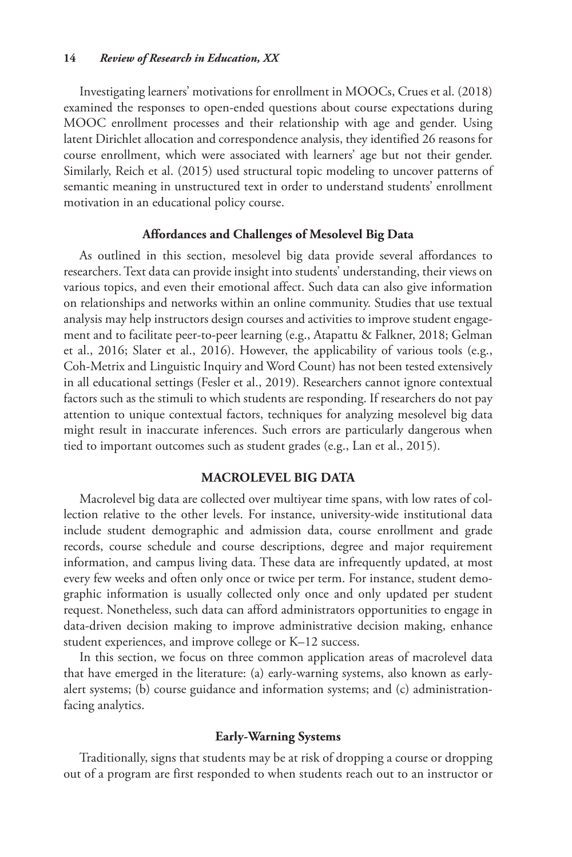Investigating learners' motivations for enrollment in MOOCs, Crues et al. (2018) examined the responses to open-ended questions about course expectations during MOOC enrollment processes and their relationship with age and gender. Using latent Dirichlet allocation and correspondence analysis, they identified 26 reasons for course enrollment, which were associated with learners' age but not their gender. Similarly, Reich et al. (2015) used structural topic modeling to uncover patterns of semantic meaning in unstructured text in order to understand students' enrollment motivation in an educational policy course.

### **Affordances and Challenges of Mesolevel Big Data**

As outlined in this section, mesolevel big data provide several affordances to researchers. Text data can provide insight into students' understanding, their views on various topics, and even their emotional affect. Such data can also give information on relationships and networks within an online community. Studies that use textual analysis may help instructors design courses and activities to improve student engagement and to facilitate peer-to-peer learning (e.g., Atapattu & Falkner, 2018; Gelman et al., 2016; Slater et al., 2016). However, the applicability of various tools (e.g., Coh-Metrix and Linguistic Inquiry and Word Count) has not been tested extensively in all educational settings (Fesler et al., 2019). Researchers cannot ignore contextual factors such as the stimuli to which students are responding. If researchers do not pay attention to unique contextual factors, techniques for analyzing mesolevel big data might result in inaccurate inferences. Such errors are particularly dangerous when tied to important outcomes such as student grades (e.g., Lan et al., 2015).

## **Macrolevel Big Data**

Macrolevel big data are collected over multiyear time spans, with low rates of collection relative to the other levels. For instance, university-wide institutional data include student demographic and admission data, course enrollment and grade records, course schedule and course descriptions, degree and major requirement information, and campus living data. These data are infrequently updated, at most every few weeks and often only once or twice per term. For instance, student demographic information is usually collected only once and only updated per student request. Nonetheless, such data can afford administrators opportunities to engage in data-driven decision making to improve administrative decision making, enhance student experiences, and improve college or K–12 success.

In this section, we focus on three common application areas of macrolevel data that have emerged in the literature: (a) early-warning systems, also known as earlyalert systems; (b) course guidance and information systems; and (c) administrationfacing analytics.

### **Early-Warning Systems**

Traditionally, signs that students may be at risk of dropping a course or dropping out of a program are first responded to when students reach out to an instructor or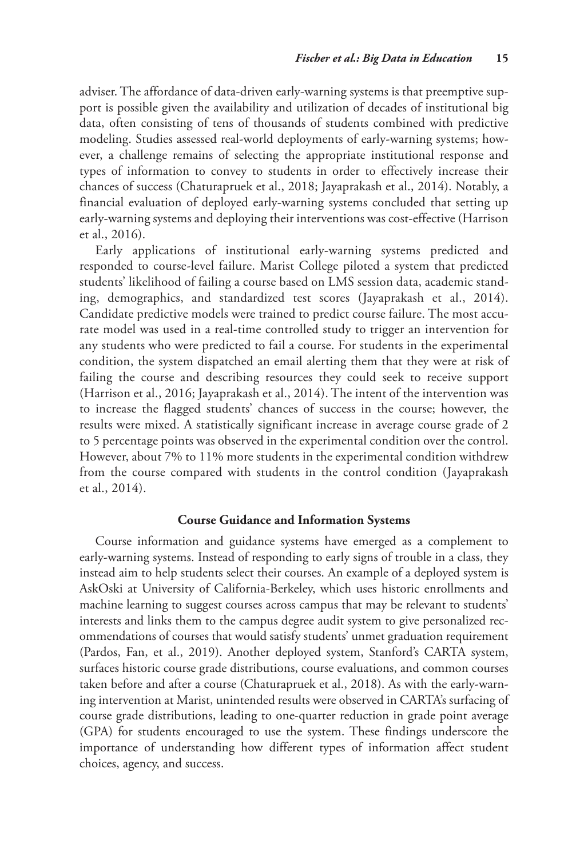adviser. The affordance of data-driven early-warning systems is that preemptive support is possible given the availability and utilization of decades of institutional big data, often consisting of tens of thousands of students combined with predictive modeling. Studies assessed real-world deployments of early-warning systems; however, a challenge remains of selecting the appropriate institutional response and types of information to convey to students in order to effectively increase their chances of success (Chaturapruek et al., 2018; Jayaprakash et al., 2014). Notably, a financial evaluation of deployed early-warning systems concluded that setting up early-warning systems and deploying their interventions was cost-effective (Harrison et al., 2016).

Early applications of institutional early-warning systems predicted and responded to course-level failure. Marist College piloted a system that predicted students' likelihood of failing a course based on LMS session data, academic standing, demographics, and standardized test scores (Jayaprakash et al., 2014). Candidate predictive models were trained to predict course failure. The most accurate model was used in a real-time controlled study to trigger an intervention for any students who were predicted to fail a course. For students in the experimental condition, the system dispatched an email alerting them that they were at risk of failing the course and describing resources they could seek to receive support (Harrison et al., 2016; Jayaprakash et al., 2014). The intent of the intervention was to increase the flagged students' chances of success in the course; however, the results were mixed. A statistically significant increase in average course grade of 2 to 5 percentage points was observed in the experimental condition over the control. However, about 7% to 11% more students in the experimental condition withdrew from the course compared with students in the control condition (Jayaprakash et al., 2014).

#### **Course Guidance and Information Systems**

Course information and guidance systems have emerged as a complement to early-warning systems. Instead of responding to early signs of trouble in a class, they instead aim to help students select their courses. An example of a deployed system is AskOski at University of California-Berkeley, which uses historic enrollments and machine learning to suggest courses across campus that may be relevant to students' interests and links them to the campus degree audit system to give personalized recommendations of courses that would satisfy students' unmet graduation requirement (Pardos, Fan, et al., 2019). Another deployed system, Stanford's CARTA system, surfaces historic course grade distributions, course evaluations, and common courses taken before and after a course (Chaturapruek et al., 2018). As with the early-warning intervention at Marist, unintended results were observed in CARTA's surfacing of course grade distributions, leading to one-quarter reduction in grade point average (GPA) for students encouraged to use the system. These findings underscore the importance of understanding how different types of information affect student choices, agency, and success.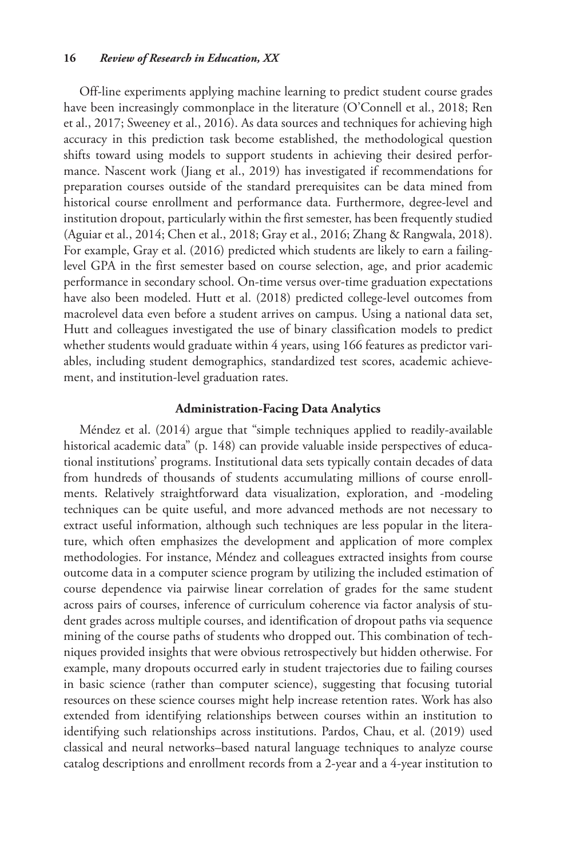#### **16** *Review of Research in Education, XX*

Off-line experiments applying machine learning to predict student course grades have been increasingly commonplace in the literature (O'Connell et al., 2018; Ren et al., 2017; Sweeney et al., 2016). As data sources and techniques for achieving high accuracy in this prediction task become established, the methodological question shifts toward using models to support students in achieving their desired performance. Nascent work (Jiang et al., 2019) has investigated if recommendations for preparation courses outside of the standard prerequisites can be data mined from historical course enrollment and performance data. Furthermore, degree-level and institution dropout, particularly within the first semester, has been frequently studied (Aguiar et al., 2014; Chen et al., 2018; Gray et al., 2016; Zhang & Rangwala, 2018). For example, Gray et al. (2016) predicted which students are likely to earn a failinglevel GPA in the first semester based on course selection, age, and prior academic performance in secondary school. On-time versus over-time graduation expectations have also been modeled. Hutt et al. (2018) predicted college-level outcomes from macrolevel data even before a student arrives on campus. Using a national data set, Hutt and colleagues investigated the use of binary classification models to predict whether students would graduate within 4 years, using 166 features as predictor variables, including student demographics, standardized test scores, academic achievement, and institution-level graduation rates.

## **Administration-Facing Data Analytics**

Méndez et al. (2014) argue that "simple techniques applied to readily-available historical academic data" (p. 148) can provide valuable inside perspectives of educational institutions' programs. Institutional data sets typically contain decades of data from hundreds of thousands of students accumulating millions of course enrollments. Relatively straightforward data visualization, exploration, and -modeling techniques can be quite useful, and more advanced methods are not necessary to extract useful information, although such techniques are less popular in the literature, which often emphasizes the development and application of more complex methodologies. For instance, Méndez and colleagues extracted insights from course outcome data in a computer science program by utilizing the included estimation of course dependence via pairwise linear correlation of grades for the same student across pairs of courses, inference of curriculum coherence via factor analysis of student grades across multiple courses, and identification of dropout paths via sequence mining of the course paths of students who dropped out. This combination of techniques provided insights that were obvious retrospectively but hidden otherwise. For example, many dropouts occurred early in student trajectories due to failing courses in basic science (rather than computer science), suggesting that focusing tutorial resources on these science courses might help increase retention rates. Work has also extended from identifying relationships between courses within an institution to identifying such relationships across institutions. Pardos, Chau, et al. (2019) used classical and neural networks–based natural language techniques to analyze course catalog descriptions and enrollment records from a 2-year and a 4-year institution to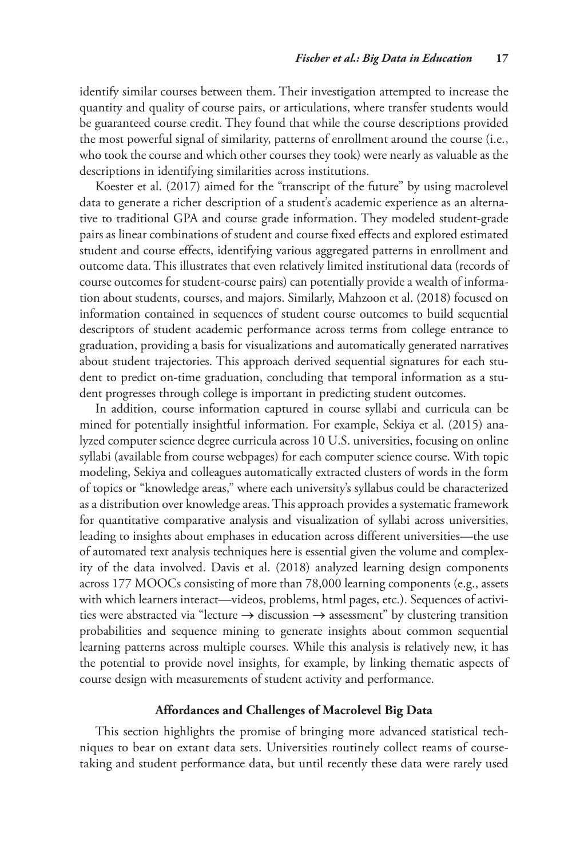identify similar courses between them. Their investigation attempted to increase the quantity and quality of course pairs, or articulations, where transfer students would be guaranteed course credit. They found that while the course descriptions provided the most powerful signal of similarity, patterns of enrollment around the course (i.e., who took the course and which other courses they took) were nearly as valuable as the descriptions in identifying similarities across institutions.

Koester et al. (2017) aimed for the "transcript of the future" by using macrolevel data to generate a richer description of a student's academic experience as an alternative to traditional GPA and course grade information. They modeled student-grade pairs as linear combinations of student and course fixed effects and explored estimated student and course effects, identifying various aggregated patterns in enrollment and outcome data. This illustrates that even relatively limited institutional data (records of course outcomes for student-course pairs) can potentially provide a wealth of information about students, courses, and majors. Similarly, Mahzoon et al. (2018) focused on information contained in sequences of student course outcomes to build sequential descriptors of student academic performance across terms from college entrance to graduation, providing a basis for visualizations and automatically generated narratives about student trajectories. This approach derived sequential signatures for each student to predict on-time graduation, concluding that temporal information as a student progresses through college is important in predicting student outcomes.

In addition, course information captured in course syllabi and curricula can be mined for potentially insightful information. For example, Sekiya et al. (2015) analyzed computer science degree curricula across 10 U.S. universities, focusing on online syllabi (available from course webpages) for each computer science course. With topic modeling, Sekiya and colleagues automatically extracted clusters of words in the form of topics or "knowledge areas," where each university's syllabus could be characterized as a distribution over knowledge areas. This approach provides a systematic framework for quantitative comparative analysis and visualization of syllabi across universities, leading to insights about emphases in education across different universities—the use of automated text analysis techniques here is essential given the volume and complexity of the data involved. Davis et al. (2018) analyzed learning design components across 177 MOOCs consisting of more than 78,000 learning components (e.g., assets with which learners interact—videos, problems, html pages, etc.). Sequences of activities were abstracted via "lecture  $\rightarrow$  discussion  $\rightarrow$  assessment" by clustering transition probabilities and sequence mining to generate insights about common sequential learning patterns across multiple courses. While this analysis is relatively new, it has the potential to provide novel insights, for example, by linking thematic aspects of course design with measurements of student activity and performance.

## **Affordances and Challenges of Macrolevel Big Data**

This section highlights the promise of bringing more advanced statistical techniques to bear on extant data sets. Universities routinely collect reams of coursetaking and student performance data, but until recently these data were rarely used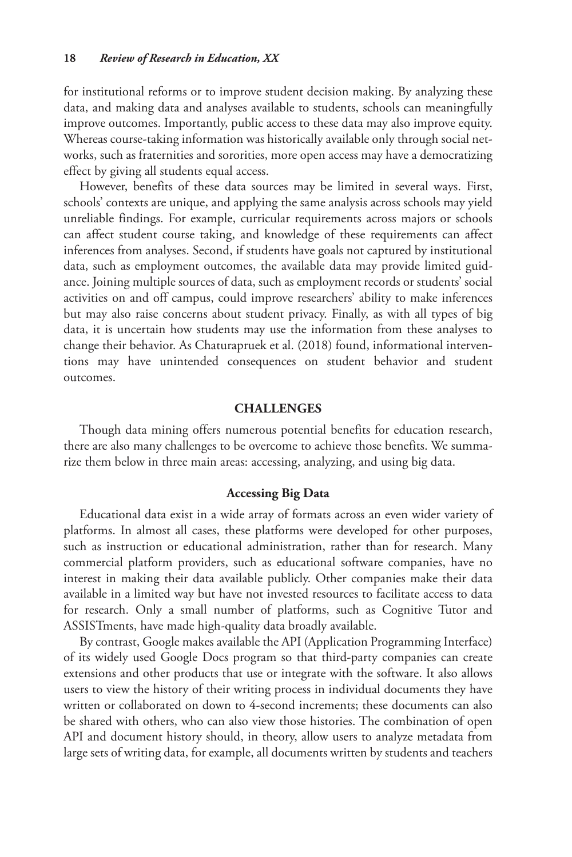for institutional reforms or to improve student decision making. By analyzing these data, and making data and analyses available to students, schools can meaningfully improve outcomes. Importantly, public access to these data may also improve equity. Whereas course-taking information was historically available only through social networks, such as fraternities and sororities, more open access may have a democratizing effect by giving all students equal access.

However, benefits of these data sources may be limited in several ways. First, schools' contexts are unique, and applying the same analysis across schools may yield unreliable findings. For example, curricular requirements across majors or schools can affect student course taking, and knowledge of these requirements can affect inferences from analyses. Second, if students have goals not captured by institutional data, such as employment outcomes, the available data may provide limited guidance. Joining multiple sources of data, such as employment records or students' social activities on and off campus, could improve researchers' ability to make inferences but may also raise concerns about student privacy. Finally, as with all types of big data, it is uncertain how students may use the information from these analyses to change their behavior. As Chaturapruek et al. (2018) found, informational interventions may have unintended consequences on student behavior and student outcomes.

## **Challenges**

Though data mining offers numerous potential benefits for education research, there are also many challenges to be overcome to achieve those benefits. We summarize them below in three main areas: accessing, analyzing, and using big data.

### **Accessing Big Data**

Educational data exist in a wide array of formats across an even wider variety of platforms. In almost all cases, these platforms were developed for other purposes, such as instruction or educational administration, rather than for research. Many commercial platform providers, such as educational software companies, have no interest in making their data available publicly. Other companies make their data available in a limited way but have not invested resources to facilitate access to data for research. Only a small number of platforms, such as Cognitive Tutor and ASSISTments, have made high-quality data broadly available.

By contrast, Google makes available the API (Application Programming Interface) of its widely used Google Docs program so that third-party companies can create extensions and other products that use or integrate with the software. It also allows users to view the history of their writing process in individual documents they have written or collaborated on down to 4-second increments; these documents can also be shared with others, who can also view those histories. The combination of open API and document history should, in theory, allow users to analyze metadata from large sets of writing data, for example, all documents written by students and teachers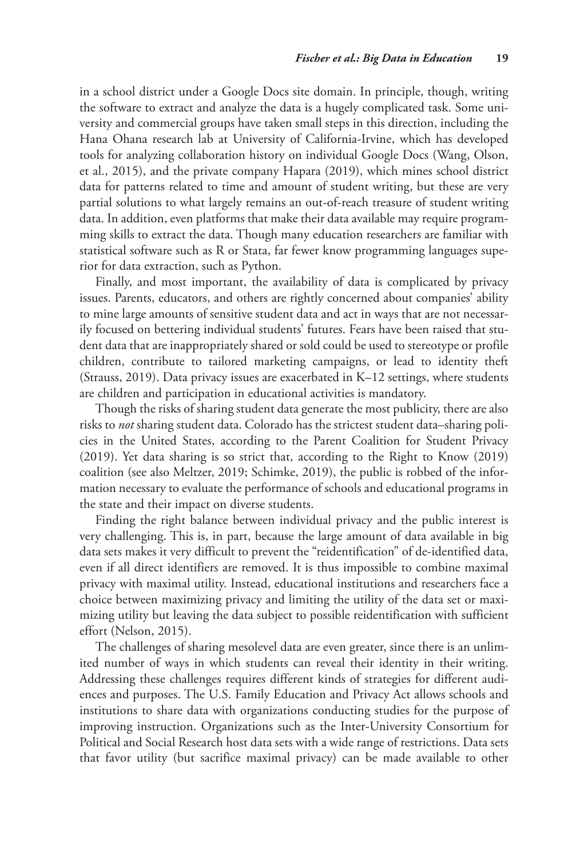in a school district under a Google Docs site domain. In principle, though, writing the software to extract and analyze the data is a hugely complicated task. Some university and commercial groups have taken small steps in this direction, including the Hana Ohana research lab at University of California-Irvine, which has developed tools for analyzing collaboration history on individual Google Docs (Wang, Olson, et al., 2015), and the private company Hapara (2019), which mines school district data for patterns related to time and amount of student writing, but these are very partial solutions to what largely remains an out-of-reach treasure of student writing data. In addition, even platforms that make their data available may require programming skills to extract the data. Though many education researchers are familiar with statistical software such as R or Stata, far fewer know programming languages superior for data extraction, such as Python.

Finally, and most important, the availability of data is complicated by privacy issues. Parents, educators, and others are rightly concerned about companies' ability to mine large amounts of sensitive student data and act in ways that are not necessarily focused on bettering individual students' futures. Fears have been raised that student data that are inappropriately shared or sold could be used to stereotype or profile children, contribute to tailored marketing campaigns, or lead to identity theft (Strauss, 2019). Data privacy issues are exacerbated in K–12 settings, where students are children and participation in educational activities is mandatory.

Though the risks of sharing student data generate the most publicity, there are also risks to *not* sharing student data. Colorado has the strictest student data–sharing policies in the United States, according to the Parent Coalition for Student Privacy (2019). Yet data sharing is so strict that, according to the Right to Know (2019) coalition (see also Meltzer, 2019; Schimke, 2019), the public is robbed of the information necessary to evaluate the performance of schools and educational programs in the state and their impact on diverse students.

Finding the right balance between individual privacy and the public interest is very challenging. This is, in part, because the large amount of data available in big data sets makes it very difficult to prevent the "reidentification" of de-identified data, even if all direct identifiers are removed. It is thus impossible to combine maximal privacy with maximal utility. Instead, educational institutions and researchers face a choice between maximizing privacy and limiting the utility of the data set or maximizing utility but leaving the data subject to possible reidentification with sufficient effort (Nelson, 2015).

The challenges of sharing mesolevel data are even greater, since there is an unlimited number of ways in which students can reveal their identity in their writing. Addressing these challenges requires different kinds of strategies for different audiences and purposes. The U.S. Family Education and Privacy Act allows schools and institutions to share data with organizations conducting studies for the purpose of improving instruction. Organizations such as the Inter-University Consortium for Political and Social Research host data sets with a wide range of restrictions. Data sets that favor utility (but sacrifice maximal privacy) can be made available to other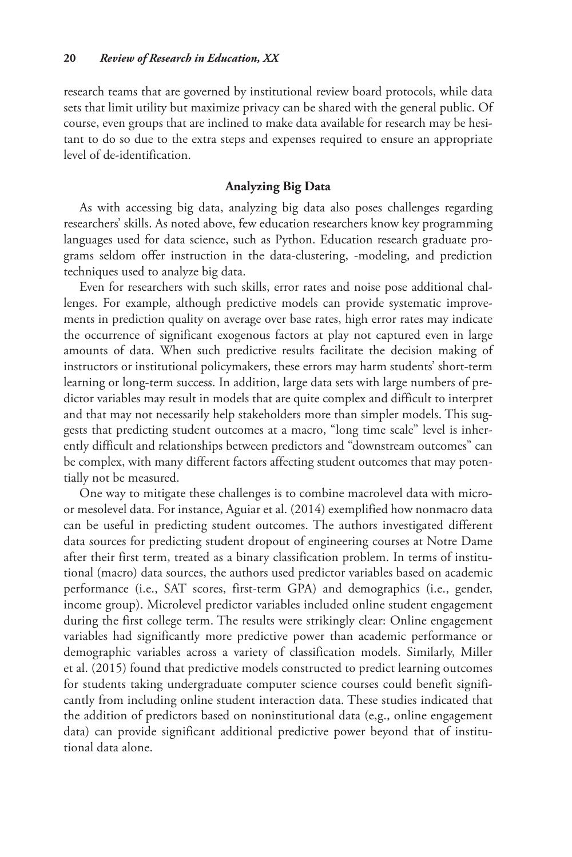research teams that are governed by institutional review board protocols, while data sets that limit utility but maximize privacy can be shared with the general public. Of course, even groups that are inclined to make data available for research may be hesitant to do so due to the extra steps and expenses required to ensure an appropriate level of de-identification.

## **Analyzing Big Data**

As with accessing big data, analyzing big data also poses challenges regarding researchers' skills. As noted above, few education researchers know key programming languages used for data science, such as Python. Education research graduate programs seldom offer instruction in the data-clustering, -modeling, and prediction techniques used to analyze big data.

Even for researchers with such skills, error rates and noise pose additional challenges. For example, although predictive models can provide systematic improvements in prediction quality on average over base rates, high error rates may indicate the occurrence of significant exogenous factors at play not captured even in large amounts of data. When such predictive results facilitate the decision making of instructors or institutional policymakers, these errors may harm students' short-term learning or long-term success. In addition, large data sets with large numbers of predictor variables may result in models that are quite complex and difficult to interpret and that may not necessarily help stakeholders more than simpler models. This suggests that predicting student outcomes at a macro, "long time scale" level is inherently difficult and relationships between predictors and "downstream outcomes" can be complex, with many different factors affecting student outcomes that may potentially not be measured.

One way to mitigate these challenges is to combine macrolevel data with microor mesolevel data. For instance, Aguiar et al. (2014) exemplified how nonmacro data can be useful in predicting student outcomes. The authors investigated different data sources for predicting student dropout of engineering courses at Notre Dame after their first term, treated as a binary classification problem. In terms of institutional (macro) data sources, the authors used predictor variables based on academic performance (i.e., SAT scores, first-term GPA) and demographics (i.e., gender, income group). Microlevel predictor variables included online student engagement during the first college term. The results were strikingly clear: Online engagement variables had significantly more predictive power than academic performance or demographic variables across a variety of classification models. Similarly, Miller et al. (2015) found that predictive models constructed to predict learning outcomes for students taking undergraduate computer science courses could benefit significantly from including online student interaction data. These studies indicated that the addition of predictors based on noninstitutional data (e,g., online engagement data) can provide significant additional predictive power beyond that of institutional data alone.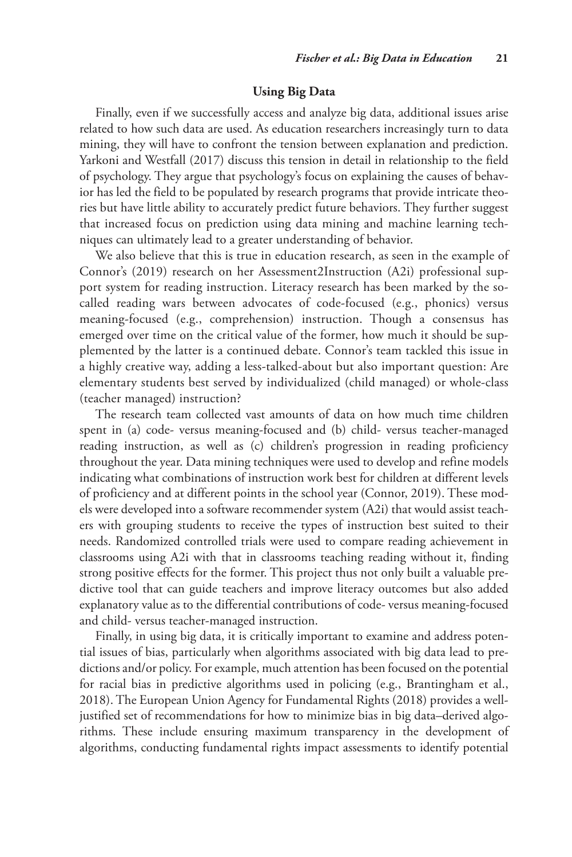#### **Using Big Data**

Finally, even if we successfully access and analyze big data, additional issues arise related to how such data are used. As education researchers increasingly turn to data mining, they will have to confront the tension between explanation and prediction. Yarkoni and Westfall (2017) discuss this tension in detail in relationship to the field of psychology. They argue that psychology's focus on explaining the causes of behavior has led the field to be populated by research programs that provide intricate theories but have little ability to accurately predict future behaviors. They further suggest that increased focus on prediction using data mining and machine learning techniques can ultimately lead to a greater understanding of behavior.

We also believe that this is true in education research, as seen in the example of Connor's (2019) research on her Assessment2Instruction (A2i) professional support system for reading instruction. Literacy research has been marked by the socalled reading wars between advocates of code-focused (e.g., phonics) versus meaning-focused (e.g., comprehension) instruction. Though a consensus has emerged over time on the critical value of the former, how much it should be supplemented by the latter is a continued debate. Connor's team tackled this issue in a highly creative way, adding a less-talked-about but also important question: Are elementary students best served by individualized (child managed) or whole-class (teacher managed) instruction?

The research team collected vast amounts of data on how much time children spent in (a) code- versus meaning-focused and (b) child- versus teacher-managed reading instruction, as well as (c) children's progression in reading proficiency throughout the year. Data mining techniques were used to develop and refine models indicating what combinations of instruction work best for children at different levels of proficiency and at different points in the school year (Connor, 2019). These models were developed into a software recommender system (A2i) that would assist teachers with grouping students to receive the types of instruction best suited to their needs. Randomized controlled trials were used to compare reading achievement in classrooms using A2i with that in classrooms teaching reading without it, finding strong positive effects for the former. This project thus not only built a valuable predictive tool that can guide teachers and improve literacy outcomes but also added explanatory value as to the differential contributions of code- versus meaning-focused and child- versus teacher-managed instruction.

Finally, in using big data, it is critically important to examine and address potential issues of bias, particularly when algorithms associated with big data lead to predictions and/or policy. For example, much attention has been focused on the potential for racial bias in predictive algorithms used in policing (e.g., Brantingham et al., 2018). The European Union Agency for Fundamental Rights (2018) provides a welljustified set of recommendations for how to minimize bias in big data–derived algorithms. These include ensuring maximum transparency in the development of algorithms, conducting fundamental rights impact assessments to identify potential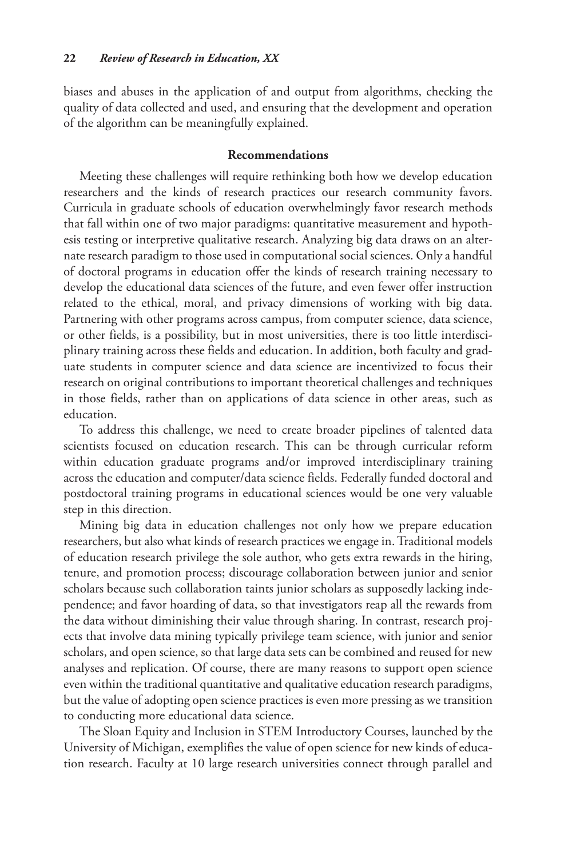biases and abuses in the application of and output from algorithms, checking the quality of data collected and used, and ensuring that the development and operation of the algorithm can be meaningfully explained.

### **Recommendations**

Meeting these challenges will require rethinking both how we develop education researchers and the kinds of research practices our research community favors. Curricula in graduate schools of education overwhelmingly favor research methods that fall within one of two major paradigms: quantitative measurement and hypothesis testing or interpretive qualitative research. Analyzing big data draws on an alternate research paradigm to those used in computational social sciences. Only a handful of doctoral programs in education offer the kinds of research training necessary to develop the educational data sciences of the future, and even fewer offer instruction related to the ethical, moral, and privacy dimensions of working with big data. Partnering with other programs across campus, from computer science, data science, or other fields, is a possibility, but in most universities, there is too little interdisciplinary training across these fields and education. In addition, both faculty and graduate students in computer science and data science are incentivized to focus their research on original contributions to important theoretical challenges and techniques in those fields, rather than on applications of data science in other areas, such as education.

To address this challenge, we need to create broader pipelines of talented data scientists focused on education research. This can be through curricular reform within education graduate programs and/or improved interdisciplinary training across the education and computer/data science fields. Federally funded doctoral and postdoctoral training programs in educational sciences would be one very valuable step in this direction.

Mining big data in education challenges not only how we prepare education researchers, but also what kinds of research practices we engage in. Traditional models of education research privilege the sole author, who gets extra rewards in the hiring, tenure, and promotion process; discourage collaboration between junior and senior scholars because such collaboration taints junior scholars as supposedly lacking independence; and favor hoarding of data, so that investigators reap all the rewards from the data without diminishing their value through sharing. In contrast, research projects that involve data mining typically privilege team science, with junior and senior scholars, and open science, so that large data sets can be combined and reused for new analyses and replication. Of course, there are many reasons to support open science even within the traditional quantitative and qualitative education research paradigms, but the value of adopting open science practices is even more pressing as we transition to conducting more educational data science.

The Sloan Equity and Inclusion in STEM Introductory Courses, launched by the University of Michigan, exemplifies the value of open science for new kinds of education research. Faculty at 10 large research universities connect through parallel and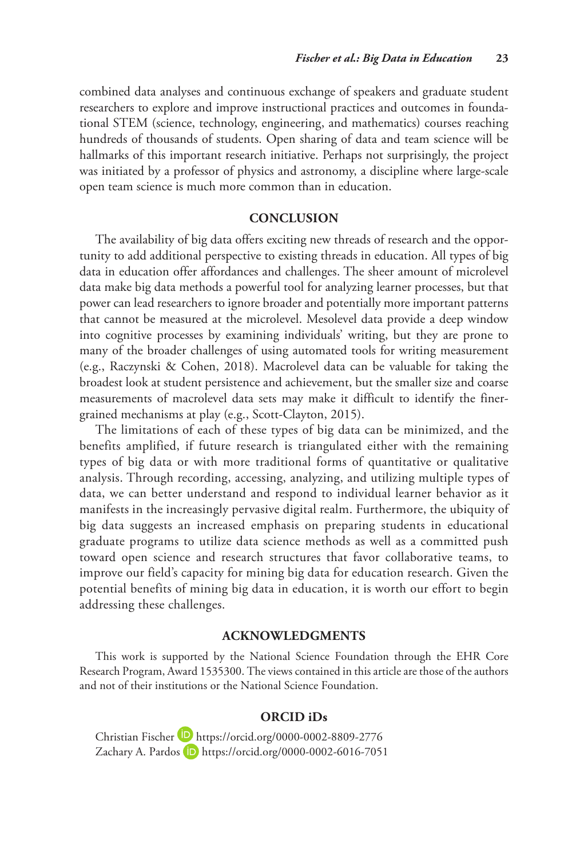combined data analyses and continuous exchange of speakers and graduate student researchers to explore and improve instructional practices and outcomes in foundational STEM (science, technology, engineering, and mathematics) courses reaching hundreds of thousands of students. Open sharing of data and team science will be hallmarks of this important research initiative. Perhaps not surprisingly, the project was initiated by a professor of physics and astronomy, a discipline where large-scale open team science is much more common than in education.

## **Conclusion**

The availability of big data offers exciting new threads of research and the opportunity to add additional perspective to existing threads in education. All types of big data in education offer affordances and challenges. The sheer amount of microlevel data make big data methods a powerful tool for analyzing learner processes, but that power can lead researchers to ignore broader and potentially more important patterns that cannot be measured at the microlevel. Mesolevel data provide a deep window into cognitive processes by examining individuals' writing, but they are prone to many of the broader challenges of using automated tools for writing measurement (e.g., Raczynski & Cohen, 2018). Macrolevel data can be valuable for taking the broadest look at student persistence and achievement, but the smaller size and coarse measurements of macrolevel data sets may make it difficult to identify the finergrained mechanisms at play (e.g., Scott-Clayton, 2015).

The limitations of each of these types of big data can be minimized, and the benefits amplified, if future research is triangulated either with the remaining types of big data or with more traditional forms of quantitative or qualitative analysis. Through recording, accessing, analyzing, and utilizing multiple types of data, we can better understand and respond to individual learner behavior as it manifests in the increasingly pervasive digital realm. Furthermore, the ubiquity of big data suggests an increased emphasis on preparing students in educational graduate programs to utilize data science methods as well as a committed push toward open science and research structures that favor collaborative teams, to improve our field's capacity for mining big data for education research. Given the potential benefits of mining big data in education, it is worth our effort to begin addressing these challenges.

## **Acknowledgments**

This work is supported by the National Science Foundation through the EHR Core Research Program, Award 1535300. The views contained in this article are those of the authors and not of their institutions or the National Science Foundation.

## **ORCID iDs**

Christian Fischer D <https://orcid.org/0000-0002-8809-2776> Zachary A. Pardos D <https://orcid.org/0000-0002-6016-7051>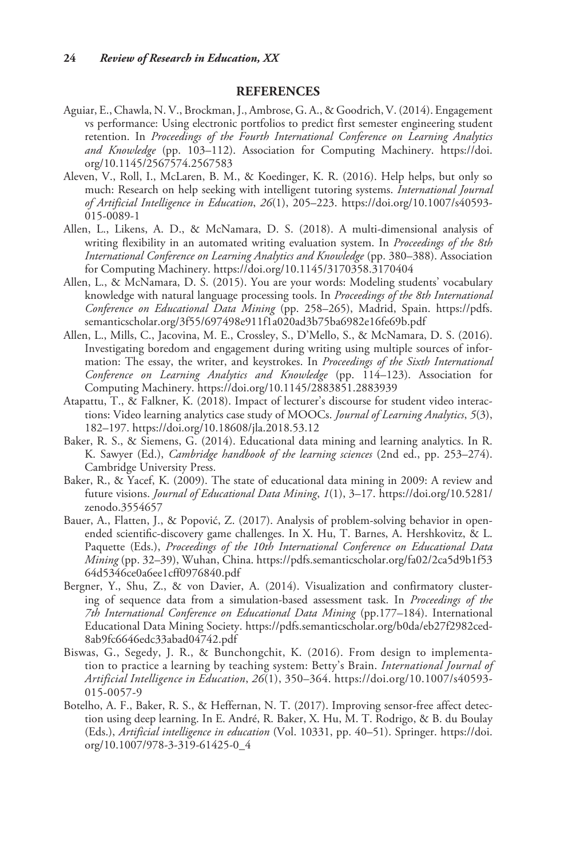### **References**

- Aguiar, E., Chawla, N. V., Brockman, J., Ambrose, G. A., & Goodrich, V. (2014). Engagement vs performance: Using electronic portfolios to predict first semester engineering student retention. In *Proceedings of the Fourth International Conference on Learning Analytics and Knowledge* (pp. 103–112). Association for Computing Machinery. [https://doi.](https://doi.org/10.1145/2567574.2567583) [org/10.1145/2567574.2567583](https://doi.org/10.1145/2567574.2567583)
- Aleven, V., Roll, I., McLaren, B. M., & Koedinger, K. R. (2016). Help helps, but only so much: Research on help seeking with intelligent tutoring systems. *International Journal of Artificial Intelligence in Education*, *26*(1), 205–223. [https://doi.org/10.1007/s40593-](https://doi.org/10.1007/s40593-015-0089-1) [015-0089-1](https://doi.org/10.1007/s40593-015-0089-1)
- Allen, L., Likens, A. D., & McNamara, D. S. (2018). A multi-dimensional analysis of writing flexibility in an automated writing evaluation system. In *Proceedings of the 8th International Conference on Learning Analytics and Knowledge* (pp. 380–388). Association for Computing Machinery.<https://doi.org/10.1145/3170358.3170404>
- Allen, L., & McNamara, D. S. (2015). You are your words: Modeling students' vocabulary knowledge with natural language processing tools. In *Proceedings of the 8th International Conference on Educational Data Mining* (pp. 258–265), Madrid, Spain. [https://pdfs.](https://pdfs.semanticscholar.org/3f55/697498e911f1a020ad3b75ba6982e16fe69b.pdf) [semanticscholar.org/3f55/697498e911f1a020ad3b75ba6982e16fe69b.pdf](https://pdfs.semanticscholar.org/3f55/697498e911f1a020ad3b75ba6982e16fe69b.pdf)
- Allen, L., Mills, C., Jacovina, M. E., Crossley, S., D'Mello, S., & McNamara, D. S. (2016). Investigating boredom and engagement during writing using multiple sources of information: The essay, the writer, and keystrokes. In *Proceedings of the Sixth International Conference on Learning Analytics and Knowledge* (pp. 114–123). Association for Computing Machinery.<https://doi.org/10.1145/2883851.2883939>
- Atapattu, T., & Falkner, K. (2018). Impact of lecturer's discourse for student video interactions: Video learning analytics case study of MOOCs. *Journal of Learning Analytics*, *5*(3), 182–197.<https://doi.org/10.18608/jla.2018.53.12>
- Baker, R. S., & Siemens, G. (2014). Educational data mining and learning analytics. In R. K. Sawyer (Ed.), *Cambridge handbook of the learning sciences* (2nd ed., pp. 253–274). Cambridge University Press.
- Baker, R., & Yacef, K. (2009). The state of educational data mining in 2009: A review and future visions. *Journal of Educational Data Mining*, *1*(1), 3–17. [https://doi.org/10.5281/](https://doi.org/10.5281/zenodo.3554657) [zenodo.3554657](https://doi.org/10.5281/zenodo.3554657)
- Bauer, A., Flatten, J., & Popović, Z. (2017). Analysis of problem-solving behavior in openended scientific-discovery game challenges. In X. Hu, T. Barnes, A. Hershkovitz, & L. Paquette (Eds.), *Proceedings of the 10th International Conference on Educational Data Mining* (pp. 32–39), Wuhan, China. [https://pdfs.semanticscholar.org/fa02/2ca5d9b1f53](https://pdfs.semanticscholar.org/fa02/2ca5d9b1f5364d5346ce0a6ee1cff0976840.pdf) [64d5346ce0a6ee1cff0976840.pdf](https://pdfs.semanticscholar.org/fa02/2ca5d9b1f5364d5346ce0a6ee1cff0976840.pdf)
- Bergner, Y., Shu, Z., & von Davier, A. (2014). Visualization and confirmatory clustering of sequence data from a simulation-based assessment task. In *Proceedings of the 7th International Conference on Educational Data Mining* (pp.177–184). International Educational Data Mining Society. [https://pdfs.semanticscholar.org/b0da/eb27f2982ced-](https://pdfs.semanticscholar.org/b0da/eb27f2982ced8ab9fc6646edc33abad04742.pdf)[8ab9fc6646edc33abad04742.pdf](https://pdfs.semanticscholar.org/b0da/eb27f2982ced8ab9fc6646edc33abad04742.pdf)
- Biswas, G., Segedy, J. R., & Bunchongchit, K. (2016). From design to implementation to practice a learning by teaching system: Betty's Brain. *International Journal of Artificial Intelligence in Education*, *26*(1), 350–364. [https://doi.org/10.1007/s40593-](https://doi.org/10.1007/s40593-015-0057-9) [015-0057-9](https://doi.org/10.1007/s40593-015-0057-9)
- Botelho, A. F., Baker, R. S., & Heffernan, N. T. (2017). Improving sensor-free affect detection using deep learning. In E. André, R. Baker, X. Hu, M. T. Rodrigo, & B. du Boulay (Eds.), *Artificial intelligence in education* (Vol. 10331, pp. 40–51). Springer. [https://doi.](https://doi.org/10.1007/978-3-319-61425-0_4) [org/10.1007/978-3-319-61425-0\\_4](https://doi.org/10.1007/978-3-319-61425-0_4)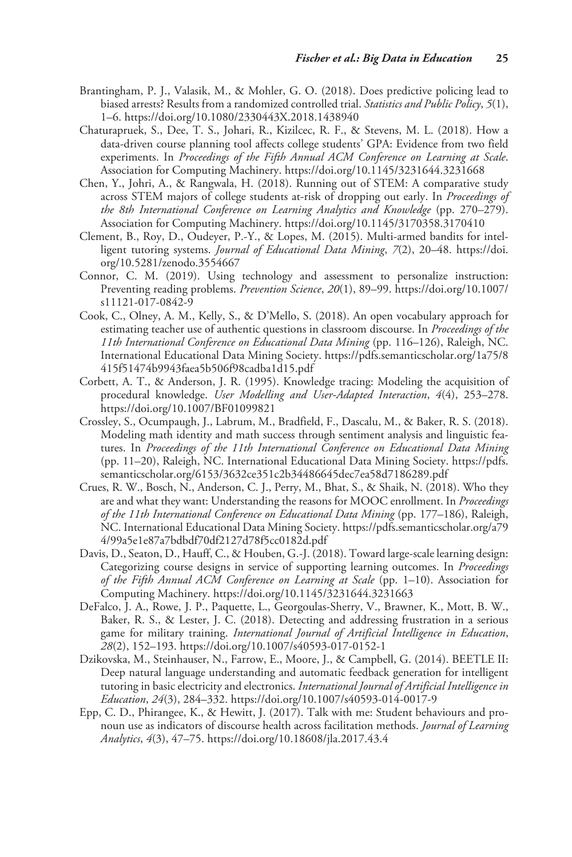- Brantingham, P. J., Valasik, M., & Mohler, G. O. (2018). Does predictive policing lead to biased arrests? Results from a randomized controlled trial. *Statistics and Public Policy*, *5*(1), 1–6.<https://doi.org/10.1080/2330443X.2018.1438940>
- Chaturapruek, S., Dee, T. S., Johari, R., Kizilcec, R. F., & Stevens, M. L. (2018). How a data-driven course planning tool affects college students' GPA: Evidence from two field experiments. In *Proceedings of the Fifth Annual ACM Conference on Learning at Scale*. Association for Computing Machinery.<https://doi.org/10.1145/3231644.3231668>
- Chen, Y., Johri, A., & Rangwala, H. (2018). Running out of STEM: A comparative study across STEM majors of college students at-risk of dropping out early. In *Proceedings of the 8th International Conference on Learning Analytics and Knowledge* (pp. 270–279). Association for Computing Machinery.<https://doi.org/10.1145/3170358.3170410>
- Clement, B., Roy, D., Oudeyer, P.-Y., & Lopes, M. (2015). Multi-armed bandits for intelligent tutoring systems. *Journal of Educational Data Mining*, *7*(2), 20–48. [https://doi.](https://doi.org/10.5281/zenodo.3554667) [org/10.5281/zenodo.3554667](https://doi.org/10.5281/zenodo.3554667)
- Connor, C. M. (2019). Using technology and assessment to personalize instruction: Preventing reading problems. *Prevention Science*, *20*(1), 89–99. [https://doi.org/10.1007/](https://doi.org/10.1007/s11121-017-0842-9) [s11121-017-0842-9](https://doi.org/10.1007/s11121-017-0842-9)
- Cook, C., Olney, A. M., Kelly, S., & D'Mello, S. (2018). An open vocabulary approach for estimating teacher use of authentic questions in classroom discourse. In *Proceedings of the 11th International Conference on Educational Data Mining* (pp. 116–126), Raleigh, NC. International Educational Data Mining Society. [https://pdfs.semanticscholar.org/1a75/8](https://pdfs.semanticscholar.org/1a75/8415f51474b9943faea5b506f98cadba1d15.pdf) [415f51474b9943faea5b506f98cadba1d15.pdf](https://pdfs.semanticscholar.org/1a75/8415f51474b9943faea5b506f98cadba1d15.pdf)
- Corbett, A. T., & Anderson, J. R. (1995). Knowledge tracing: Modeling the acquisition of procedural knowledge. *User Modelling and User-Adapted Interaction*, *4*(4), 253–278. <https://doi.org/10.1007/BF01099821>
- Crossley, S., Ocumpaugh, J., Labrum, M., Bradfield, F., Dascalu, M., & Baker, R. S. (2018). Modeling math identity and math success through sentiment analysis and linguistic features. In *Proceedings of the 11th International Conference on Educational Data Mining* (pp. 11–20), Raleigh, NC. International Educational Data Mining Society. [https://pdfs.](https://pdfs.semanticscholar.org/6153/3632ce351c2b34486645dec7ea58d7186289.pdf) [semanticscholar.org/6153/3632ce351c2b34486645dec7ea58d7186289.pdf](https://pdfs.semanticscholar.org/6153/3632ce351c2b34486645dec7ea58d7186289.pdf)
- Crues, R. W., Bosch, N., Anderson, C. J., Perry, M., Bhat, S., & Shaik, N. (2018). Who they are and what they want: Understanding the reasons for MOOC enrollment. In *Proceedings of the 11th International Conference on Educational Data Mining* (pp. 177–186), Raleigh, NC. International Educational Data Mining Society. [https://pdfs.semanticscholar.org/a79](https://pdfs.semanticscholar.org/a794/99a5e1e87a7bdbdf70df2127d78f5cc0182d.pdf) [4/99a5e1e87a7bdbdf70df2127d78f5cc0182d.pdf](https://pdfs.semanticscholar.org/a794/99a5e1e87a7bdbdf70df2127d78f5cc0182d.pdf)
- Davis, D., Seaton, D., Hauff, C., & Houben, G.-J. (2018). Toward large-scale learning design: Categorizing course designs in service of supporting learning outcomes. In *Proceedings of the Fifth Annual ACM Conference on Learning at Scale* (pp. 1–10). Association for Computing Machinery.<https://doi.org/10.1145/3231644.3231663>
- DeFalco, J. A., Rowe, J. P., Paquette, L., Georgoulas-Sherry, V., Brawner, K., Mott, B. W., Baker, R. S., & Lester, J. C. (2018). Detecting and addressing frustration in a serious game for military training. *International Journal of Artificial Intelligence in Education*, *28*(2), 152–193. <https://doi.org/10.1007/s40593-017-0152-1>
- Dzikovska, M., Steinhauser, N., Farrow, E., Moore, J., & Campbell, G. (2014). BEETLE II: Deep natural language understanding and automatic feedback generation for intelligent tutoring in basic electricity and electronics. *International Journal of Artificial Intelligence in Education*, *24*(3), 284–332.<https://doi.org/10.1007/s40593-014-0017-9>
- Epp, C. D., Phirangee, K., & Hewitt, J. (2017). Talk with me: Student behaviours and pronoun use as indicators of discourse health across facilitation methods. *Journal of Learning Analytics*, *4*(3), 47–75. <https://doi.org/10.18608/jla.2017.43.4>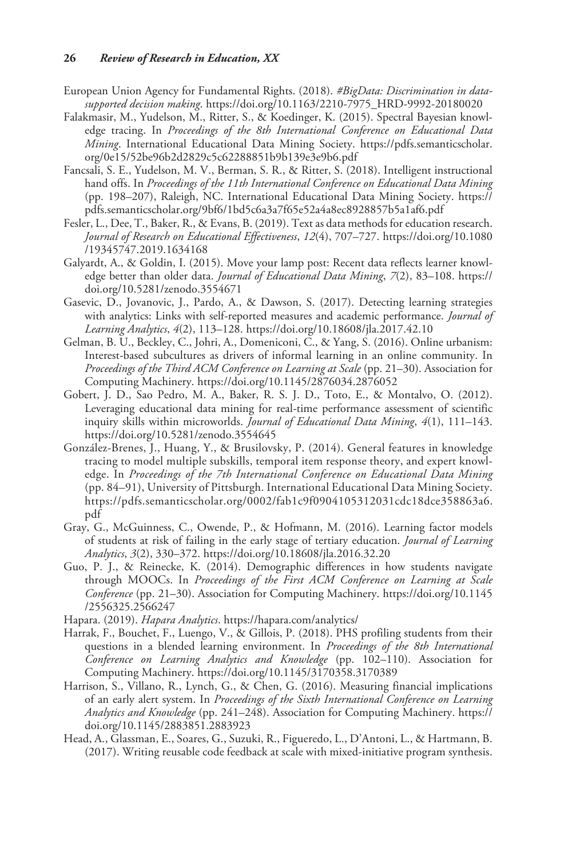- European Union Agency for Fundamental Rights. (2018). *#BigData: Discrimination in datasupported decision making*. [https://doi.org/10.1163/2210-7975\\_HRD-9992-20180020](https://doi.org/10.1163/2210-7975_HRD-9992-20180020)
- Falakmasir, M., Yudelson, M., Ritter, S., & Koedinger, K. (2015). Spectral Bayesian knowledge tracing. In *Proceedings of the 8th International Conference on Educational Data Mining*. International Educational Data Mining Society. [https://pdfs.semanticscholar.](https://pdfs.semanticscholar.org/0e15/52be96b2d2829c5c62288851b9b139e3e9b6.pdf) [org/0e15/52be96b2d2829c5c62288851b9b139e3e9b6.pdf](https://pdfs.semanticscholar.org/0e15/52be96b2d2829c5c62288851b9b139e3e9b6.pdf)
- Fancsali, S. E., Yudelson, M. V., Berman, S. R., & Ritter, S. (2018). Intelligent instructional hand offs. In *Proceedings of the 11th International Conference on Educational Data Mining* (pp. 198–207), Raleigh, NC. International Educational Data Mining Society. [https://](https://pdfs.semanticscholar.org/9bf6/1bd5c6a3a7f65e52a4a8ec8928857b5a1af6.pdf) [pdfs.semanticscholar.org/9bf6/1bd5c6a3a7f65e52a4a8ec8928857b5a1af6.pdf](https://pdfs.semanticscholar.org/9bf6/1bd5c6a3a7f65e52a4a8ec8928857b5a1af6.pdf)
- Fesler, L., Dee, T., Baker, R., & Evans, B. (2019). Text as data methods for education research. *Journal of Research on Educational Effectiveness*, *12*(4), 707–727. [https://doi.org/10.1080](https://doi.org/10.1080/19345747.2019.1634168) [/19345747.2019.1634168](https://doi.org/10.1080/19345747.2019.1634168)
- Galyardt, A., & Goldin, I. (2015). Move your lamp post: Recent data reflects learner knowledge better than older data. *Journal of Educational Data Mining*, *7*(2), 83–108. [https://](https://doi.org/10.5281/zenodo.3554671) [doi.org/10.5281/zenodo.3554671](https://doi.org/10.5281/zenodo.3554671)
- Gasevic, D., Jovanovic, J., Pardo, A., & Dawson, S. (2017). Detecting learning strategies with analytics: Links with self-reported measures and academic performance. *Journal of Learning Analytics*, *4*(2), 113–128. <https://doi.org/10.18608/jla.2017.42.10>
- Gelman, B. U., Beckley, C., Johri, A., Domeniconi, C., & Yang, S. (2016). Online urbanism: Interest-based subcultures as drivers of informal learning in an online community. In *Proceedings of the Third ACM Conference on Learning at Scale* (pp. 21–30). Association for Computing Machinery.<https://doi.org/10.1145/2876034.2876052>
- Gobert, J. D., Sao Pedro, M. A., Baker, R. S. J. D., Toto, E., & Montalvo, O. (2012). Leveraging educational data mining for real-time performance assessment of scientific inquiry skills within microworlds. *Journal of Educational Data Mining*, *4*(1), 111–143. <https://doi.org/10.5281/zenodo.3554645>
- González-Brenes, J., Huang, Y., & Brusilovsky, P. (2014). General features in knowledge tracing to model multiple subskills, temporal item response theory, and expert knowledge. In *Proceedings of the 7th International Conference on Educational Data Mining* (pp. 84–91), University of Pittsburgh. International Educational Data Mining Society. [https://pdfs.semanticscholar.org/0002/fab1c9f0904105312031cdc18dce358863a6.](https://pdfs.semanticscholar.org/0002/fab1c9f0904105312031cdc18dce358863a6.pdf) [pdf](https://pdfs.semanticscholar.org/0002/fab1c9f0904105312031cdc18dce358863a6.pdf)
- Gray, G., McGuinness, C., Owende, P., & Hofmann, M. (2016). Learning factor models of students at risk of failing in the early stage of tertiary education. *Journal of Learning Analytics*, *3*(2), 330–372. <https://doi.org/10.18608/jla.2016.32.20>
- Guo, P. J., & Reinecke, K. (2014). Demographic differences in how students navigate through MOOCs. In *Proceedings of the First ACM Conference on Learning at Scale Conference* (pp. 21–30). Association for Computing Machinery. [https://doi.org/10.1145](https://doi.org/10.1145/2556325.2566247) [/2556325.2566247](https://doi.org/10.1145/2556325.2566247)
- Hapara. (2019). *Hapara Analytics*. <https://hapara.com/analytics/>
- Harrak, F., Bouchet, F., Luengo, V., & Gillois, P. (2018). PHS profiling students from their questions in a blended learning environment. In *Proceedings of the 8th International Conference on Learning Analytics and Knowledge* (pp. 102–110). Association for Computing Machinery.<https://doi.org/10.1145/3170358.3170389>
- Harrison, S., Villano, R., Lynch, G., & Chen, G. (2016). Measuring financial implications of an early alert system. In *Proceedings of the Sixth International Conference on Learning Analytics and Knowledge* (pp. 241–248). Association for Computing Machinery. [https://](https://doi.org/10.1145/2883851.2883923) [doi.org/10.1145/2883851.2883923](https://doi.org/10.1145/2883851.2883923)
- Head, A., Glassman, E., Soares, G., Suzuki, R., Figueredo, L., D'Antoni, L., & Hartmann, B. (2017). Writing reusable code feedback at scale with mixed-initiative program synthesis.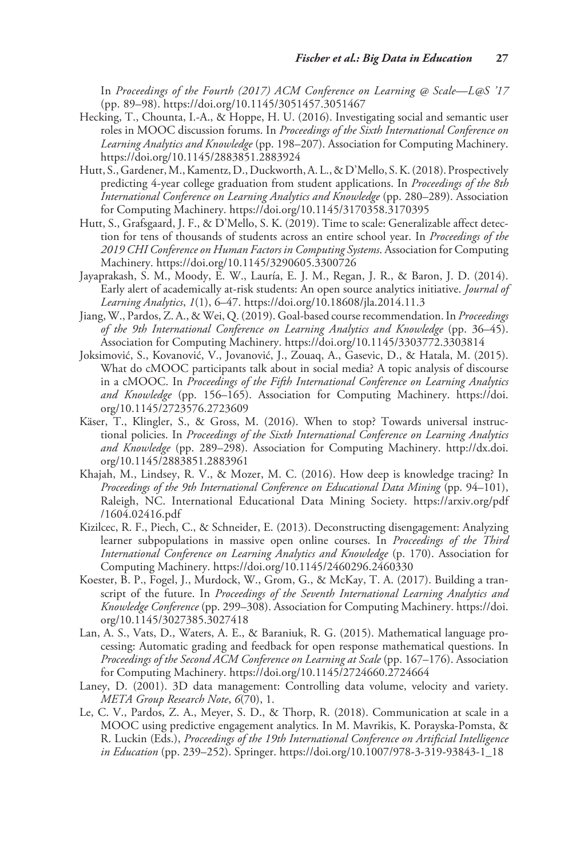In *Proceedings of the Fourth (2017) ACM Conference on Learning @ Scale—L@S '17* (pp. 89–98).<https://doi.org/10.1145/3051457.3051467>

- Hecking, T., Chounta, I.-A., & Hoppe, H. U. (2016). Investigating social and semantic user roles in MOOC discussion forums. In *Proceedings of the Sixth International Conference on Learning Analytics and Knowledge* (pp. 198–207). Association for Computing Machinery. <https://doi.org/10.1145/2883851.2883924>
- Hutt, S., Gardener, M., Kamentz, D., Duckworth, A. L., & D'Mello, S. K. (2018). Prospectively predicting 4-year college graduation from student applications. In *Proceedings of the 8th International Conference on Learning Analytics and Knowledge* (pp. 280–289). Association for Computing Machinery.<https://doi.org/10.1145/3170358.3170395>
- Hutt, S., Grafsgaard, J. F., & D'Mello, S. K. (2019). Time to scale: Generalizable affect detection for tens of thousands of students across an entire school year. In *Proceedings of the 2019 CHI Conference on Human Factors in Computing Systems*. Association for Computing Machinery.<https://doi.org/10.1145/3290605.3300726>
- Jayaprakash, S. M., Moody, E. W., Lauría, E. J. M., Regan, J. R., & Baron, J. D. (2014). Early alert of academically at-risk students: An open source analytics initiative. *Journal of Learning Analytics*, *1*(1), 6–47.<https://doi.org/10.18608/jla.2014.11.3>
- Jiang, W., Pardos, Z. A., & Wei, Q. (2019). Goal-based course recommendation. In *Proceedings of the 9th International Conference on Learning Analytics and Knowledge* (pp. 36–45). Association for Computing Machinery.<https://doi.org/10.1145/3303772.3303814>
- Joksimović, S., Kovanović, V., Jovanović, J., Zouaq, A., Gasevic, D., & Hatala, M. (2015). What do cMOOC participants talk about in social media? A topic analysis of discourse in a cMOOC. In *Proceedings of the Fifth International Conference on Learning Analytics and Knowledge* (pp. 156–165). Association for Computing Machinery. [https://doi.](https://doi.org/10.1145/2723576.2723609) [org/10.1145/2723576.2723609](https://doi.org/10.1145/2723576.2723609)
- Käser, T., Klingler, S., & Gross, M. (2016). When to stop? Towards universal instructional policies. In *Proceedings of the Sixth International Conference on Learning Analytics and Knowledge* (pp. 289–298). Association for Computing Machinery. [http://dx.doi.](http://dx.doi.org/10.1145/2883851.2883961) [org/10.1145/2883851.2883961](http://dx.doi.org/10.1145/2883851.2883961)
- Khajah, M., Lindsey, R. V., & Mozer, M. C. (2016). How deep is knowledge tracing? In *Proceedings of the 9th International Conference on Educational Data Mining* (pp. 94–101), Raleigh, NC. International Educational Data Mining Society. [https://arxiv.org/pdf](https://arxiv.org/pdf/1604.02416.pdf) [/1604.02416.pdf](https://arxiv.org/pdf/1604.02416.pdf)
- Kizilcec, R. F., Piech, C., & Schneider, E. (2013). Deconstructing disengagement: Analyzing learner subpopulations in massive open online courses. In *Proceedings of the Third International Conference on Learning Analytics and Knowledge* (p. 170). Association for Computing Machinery.<https://doi.org/10.1145/2460296.2460330>
- Koester, B. P., Fogel, J., Murdock, W., Grom, G., & McKay, T. A. (2017). Building a transcript of the future. In *Proceedings of the Seventh International Learning Analytics and Knowledge Conference* (pp. 299–308). Association for Computing Machinery. [https://doi.](https://doi.org/10.1145/3027385.3027418) [org/10.1145/3027385.3027418](https://doi.org/10.1145/3027385.3027418)
- Lan, A. S., Vats, D., Waters, A. E., & Baraniuk, R. G. (2015). Mathematical language processing: Automatic grading and feedback for open response mathematical questions. In *Proceedings of the Second ACM Conference on Learning at Scale* (pp. 167–176). Association for Computing Machinery.<https://doi.org/10.1145/2724660.2724664>
- Laney, D. (2001). 3D data management: Controlling data volume, velocity and variety. *META Group Research Note*, *6*(70), 1.
- Le, C. V., Pardos, Z. A., Meyer, S. D., & Thorp, R. (2018). Communication at scale in a MOOC using predictive engagement analytics. In M. Mavrikis, K. Porayska-Pomsta, & R. Luckin (Eds.), *Proceedings of the 19th International Conference on Artificial Intelligence in Education* (pp. 239–252). Springer. [https://doi.org/10.1007/978-3-319-93843-1\\_18](https://doi.org/10.1007/978-3-319-93843-1_18)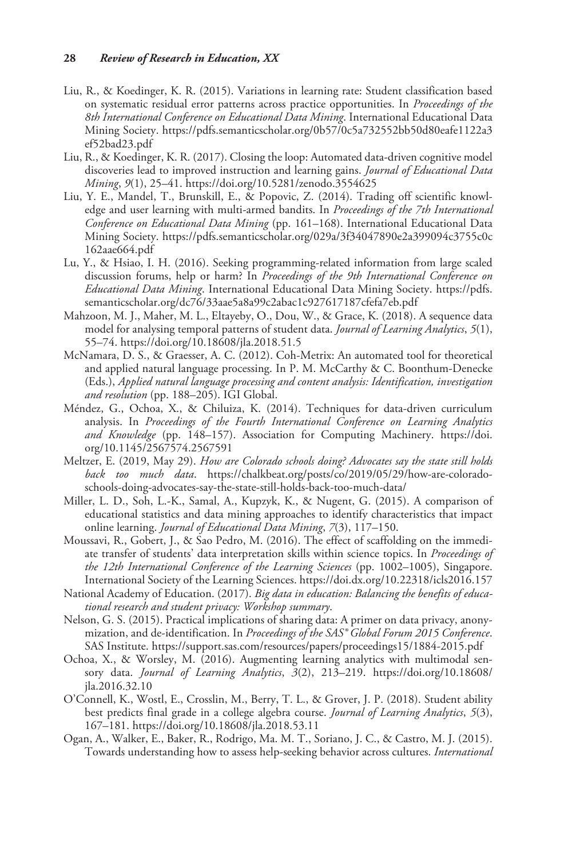- Liu, R., & Koedinger, K. R. (2015). Variations in learning rate: Student classification based on systematic residual error patterns across practice opportunities. In *Proceedings of the 8th International Conference on Educational Data Mining*. International Educational Data Mining Society. [https://pdfs.semanticscholar.org/0b57/0c5a732552bb50d80eafe1122a3](https://pdfs.semanticscholar.org/0b57/0c5a732552bb50d80eafe1122a3ef52bad23.pdf) [ef52bad23.pdf](https://pdfs.semanticscholar.org/0b57/0c5a732552bb50d80eafe1122a3ef52bad23.pdf)
- Liu, R., & Koedinger, K. R. (2017). Closing the loop: Automated data-driven cognitive model discoveries lead to improved instruction and learning gains. *Journal of Educational Data Mining*, *9*(1), 25–41.<https://doi.org/10.5281/zenodo.3554625>
- Liu, Y. E., Mandel, T., Brunskill, E., & Popovic, Z. (2014). Trading off scientific knowledge and user learning with multi-armed bandits. In *Proceedings of the 7th International Conference on Educational Data Mining* (pp. 161–168). International Educational Data Mining Society. [https://pdfs.semanticscholar.org/029a/3f34047890e2a399094c3755c0c](https://pdfs.semanticscholar.org/029a/3f34047890e2a399094c3755c0c162aae664.pdf) [162aae664.pdf](https://pdfs.semanticscholar.org/029a/3f34047890e2a399094c3755c0c162aae664.pdf)
- Lu, Y., & Hsiao, I. H. (2016). Seeking programming-related information from large scaled discussion forums, help or harm? In *Proceedings of the 9th International Conference on Educational Data Mining*. International Educational Data Mining Society. [https://pdfs.](https://pdfs.semanticscholar.org/dc76/33aae5a8a99c2abac1c927617187cfefa7eb.pdf) [semanticscholar.org/dc76/33aae5a8a99c2abac1c927617187cfefa7eb.pdf](https://pdfs.semanticscholar.org/dc76/33aae5a8a99c2abac1c927617187cfefa7eb.pdf)
- Mahzoon, M. J., Maher, M. L., Eltayeby, O., Dou, W., & Grace, K. (2018). A sequence data model for analysing temporal patterns of student data. *Journal of Learning Analytics*, *5*(1), 55–74.<https://doi.org/10.18608/jla.2018.51.5>
- McNamara, D. S., & Graesser, A. C. (2012). Coh-Metrix: An automated tool for theoretical and applied natural language processing. In P. M. McCarthy & C. Boonthum-Denecke (Eds.), *Applied natural language processing and content analysis: Identification, investigation and resolution* (pp. 188–205). IGI Global.
- Méndez, G., Ochoa, X., & Chiluiza, K. (2014). Techniques for data-driven curriculum analysis. In *Proceedings of the Fourth International Conference on Learning Analytics and Knowledge* (pp. 148–157). Association for Computing Machinery. [https://doi.](https://doi.org/10.1145/2567574.2567591) [org/10.1145/2567574.2567591](https://doi.org/10.1145/2567574.2567591)
- Meltzer, E. (2019, May 29). *How are Colorado schools doing? Advocates say the state still holds back too much data*. [https://chalkbeat.org/posts/co/2019/05/29/how-are-colorado](https://chalkbeat.org/posts/co/2019/05/29/how-are-colorado-schools-doing-advocates-say-the-state-still-holds-back-too-much-data/)[schools-doing-advocates-say-the-state-still-holds-back-too-much-data/](https://chalkbeat.org/posts/co/2019/05/29/how-are-colorado-schools-doing-advocates-say-the-state-still-holds-back-too-much-data/)
- Miller, L. D., Soh, L.-K., Samal, A., Kupzyk, K., & Nugent, G. (2015). A comparison of educational statistics and data mining approaches to identify characteristics that impact online learning. *Journal of Educational Data Mining*, *7*(3), 117–150.
- Moussavi, R., Gobert, J., & Sao Pedro, M. (2016). The effect of scaffolding on the immediate transfer of students' data interpretation skills within science topics. In *Proceedings of the 12th International Conference of the Learning Sciences* (pp. 1002–1005), Singapore. International Society of the Learning Sciences.<https://doi.dx.org/10.22318/icls2016.157>
- National Academy of Education. (2017). *Big data in education: Balancing the benefits of educational research and student privacy: Workshop summary*.
- Nelson, G. S. (2015). Practical implications of sharing data: A primer on data privacy, anonymization, and de-identification. In *Proceedings of the SAS® Global Forum 2015 Conference*. SAS Institute. <https://support.sas.com/resources/papers/proceedings15/1884-2015.pdf>
- Ochoa, X., & Worsley, M. (2016). Augmenting learning analytics with multimodal sensory data. *Journal of Learning Analytics*, *3*(2), 213–219. [https://doi.org/10.18608/](https://doi.org/10.18608/jla.2016.32.10) [jla.2016.32.10](https://doi.org/10.18608/jla.2016.32.10)
- O'Connell, K., Wostl, E., Crosslin, M., Berry, T. L., & Grover, J. P. (2018). Student ability best predicts final grade in a college algebra course. *Journal of Learning Analytics*, *5*(3), 167–181.<https://doi.org/10.18608/jla.2018.53.11>
- Ogan, A., Walker, E., Baker, R., Rodrigo, Ma. M. T., Soriano, J. C., & Castro, M. J. (2015). Towards understanding how to assess help-seeking behavior across cultures. *International*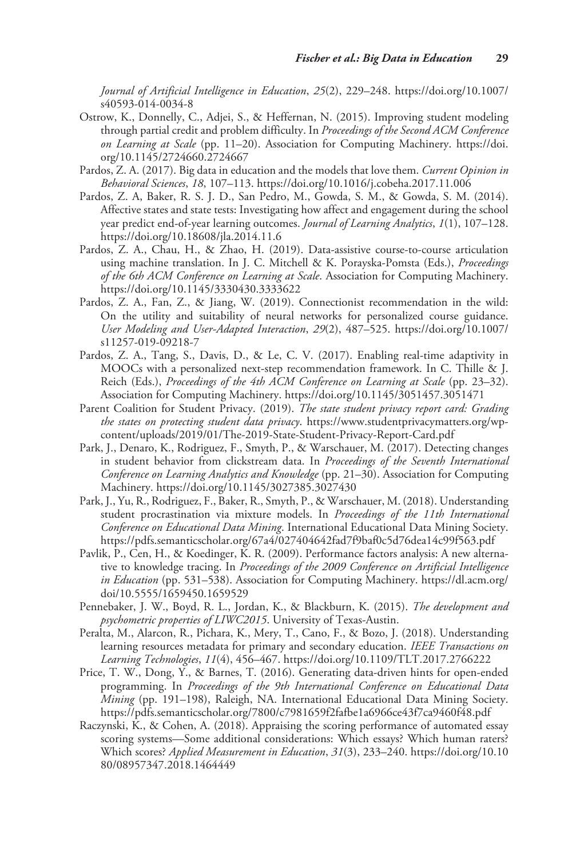*Journal of Artificial Intelligence in Education*, *25*(2), 229–248. [https://doi.org/10.1007/](https://doi.org/10.1007/s40593-014-0034-8) [s40593-014-0034-8](https://doi.org/10.1007/s40593-014-0034-8)

- Ostrow, K., Donnelly, C., Adjei, S., & Heffernan, N. (2015). Improving student modeling through partial credit and problem difficulty. In *Proceedings of the Second ACM Conference on Learning at Scale* (pp. 11–20). Association for Computing Machinery. [https://doi.](https://doi.org/10.1145/2724660.2724667) [org/10.1145/2724660.2724667](https://doi.org/10.1145/2724660.2724667)
- Pardos, Z. A. (2017). Big data in education and the models that love them. *Current Opinion in Behavioral Sciences*, *18*, 107–113.<https://doi.org/10.1016/j.cobeha.2017.11.006>
- Pardos, Z. A, Baker, R. S. J. D., San Pedro, M., Gowda, S. M., & Gowda, S. M. (2014). Affective states and state tests: Investigating how affect and engagement during the school year predict end-of-year learning outcomes. *Journal of Learning Analytics*, *1*(1), 107–128. <https://doi.org/10.18608/jla.2014.11.6>
- Pardos, Z. A., Chau, H., & Zhao, H. (2019). Data-assistive course-to-course articulation using machine translation. In J. C. Mitchell & K. Porayska-Pomsta (Eds.), *Proceedings of the 6th ACM Conference on Learning at Scale*. Association for Computing Machinery. <https://doi.org/10.1145/3330430.3333622>
- Pardos, Z. A., Fan, Z., & Jiang, W. (2019). Connectionist recommendation in the wild: On the utility and suitability of neural networks for personalized course guidance. *User Modeling and User-Adapted Interaction*, *29*(2), 487–525. [https://doi.org/10.1007/](https://doi.org/10.1007/s11257-019-09218-7) [s11257-019-09218-7](https://doi.org/10.1007/s11257-019-09218-7)
- Pardos, Z. A., Tang, S., Davis, D., & Le, C. V. (2017). Enabling real-time adaptivity in MOOCs with a personalized next-step recommendation framework. In C. Thille & J. Reich (Eds.), *Proceedings of the 4th ACM Conference on Learning at Scale* (pp. 23–32). Association for Computing Machinery.<https://doi.org/10.1145/3051457.3051471>
- Parent Coalition for Student Privacy. (2019). *The state student privacy report card: Grading the states on protecting student data privacy*. [https://www.studentprivacymatters.org/wp](https://www.studentprivacymatters.org/wp-content/uploads/2019/01/The-2019-State-Student-Privacy-Report-Card.pdf)[content/uploads/2019/01/The-2019-State-Student-Privacy-Report-Card.pdf](https://www.studentprivacymatters.org/wp-content/uploads/2019/01/The-2019-State-Student-Privacy-Report-Card.pdf)
- Park, J., Denaro, K., Rodriguez, F., Smyth, P., & Warschauer, M. (2017). Detecting changes in student behavior from clickstream data. In *Proceedings of the Seventh International Conference on Learning Analytics and Knowledge* (pp. 21–30). Association for Computing Machinery.<https://doi.org/10.1145/3027385.3027430>
- Park, J., Yu, R., Rodriguez, F., Baker, R., Smyth, P., & Warschauer, M. (2018). Understanding student procrastination via mixture models. In *Proceedings of the 11th International Conference on Educational Data Mining*. International Educational Data Mining Society. <https://pdfs.semanticscholar.org/67a4/027404642fad7f9baf0c5d76dea14c99f563.pdf>
- Pavlik, P., Cen, H., & Koedinger, K. R. (2009). Performance factors analysis: A new alternative to knowledge tracing. In *Proceedings of the 2009 Conference on Artificial Intelligence in Education* (pp. 531–538). Association for Computing Machinery. [https://dl.acm.org/](https://dl.acm.org/doi/10.5555/1659450.1659529) [doi/10.5555/1659450.1659529](https://dl.acm.org/doi/10.5555/1659450.1659529)
- Pennebaker, J. W., Boyd, R. L., Jordan, K., & Blackburn, K. (2015). *The development and psychometric properties of LIWC2015*. University of Texas-Austin.
- Peralta, M., Alarcon, R., Pichara, K., Mery, T., Cano, F., & Bozo, J. (2018). Understanding learning resources metadata for primary and secondary education. *IEEE Transactions on Learning Technologies*, *11*(4), 456–467.<https://doi.org/10.1109/TLT.2017.2766222>
- Price, T. W., Dong, Y., & Barnes, T. (2016). Generating data-driven hints for open-ended programming. In *Proceedings of the 9th International Conference on Educational Data Mining* (pp. 191–198), Raleigh, NA. International Educational Data Mining Society. <https://pdfs.semanticscholar.org/7800/c7981659f2fafbe1a6966ce43f7ca9460f48.pdf>
- Raczynski, K., & Cohen, A. (2018). Appraising the scoring performance of automated essay scoring systems—Some additional considerations: Which essays? Which human raters? Which scores? *Applied Measurement in Education*, *31*(3), 233–240. [https://doi.org/10.10](https://doi.org/10.1080/08957347.2018.1464449) [80/08957347.2018.1464449](https://doi.org/10.1080/08957347.2018.1464449)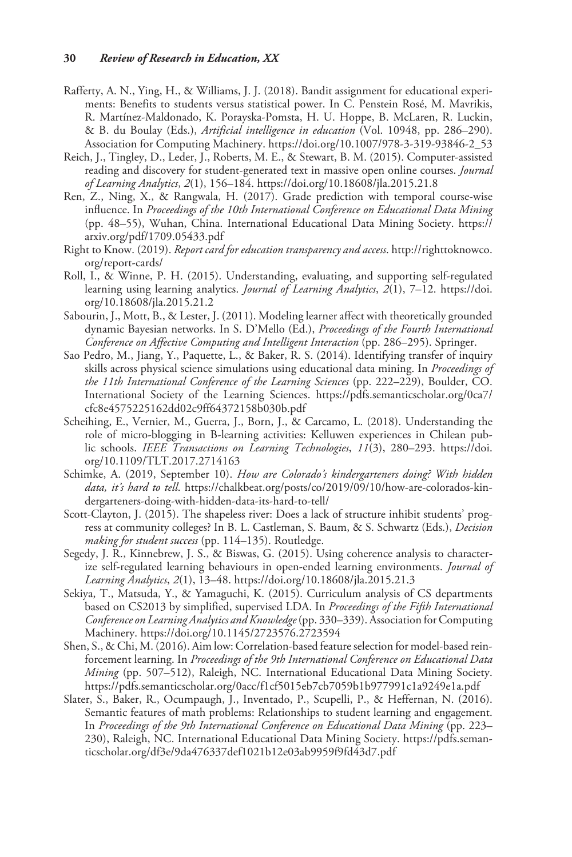- Rafferty, A. N., Ying, H., & Williams, J. J. (2018). Bandit assignment for educational experiments: Benefits to students versus statistical power. In C. Penstein Rosé, M. Mavrikis, R. Martínez-Maldonado, K. Porayska-Pomsta, H. U. Hoppe, B. McLaren, R. Luckin, & B. du Boulay (Eds.), *Artificial intelligence in education* (Vol. 10948, pp. 286–290). Association for Computing Machinery. [https://doi.org/10.1007/978-3-319-93846-2\\_53](https://doi.org/10.1007/978-3-319-93846-2_53)
- Reich, J., Tingley, D., Leder, J., Roberts, M. E., & Stewart, B. M. (2015). Computer-assisted reading and discovery for student-generated text in massive open online courses. *Journal of Learning Analytics*, *2*(1), 156–184.<https://doi.org/10.18608/jla.2015.21.8>
- Ren, Z., Ning, X., & Rangwala, H. (2017). Grade prediction with temporal course-wise influence. In *Proceedings of the 10th International Conference on Educational Data Mining* (pp. 48–55), Wuhan, China. International Educational Data Mining Society. [https://](https://arxiv.org/pdf/1709.05433.pdf) [arxiv.org/pdf/1709.05433.pdf](https://arxiv.org/pdf/1709.05433.pdf)
- Right to Know. (2019). *Report card for education transparency and access*. [http://righttoknowco.](http://righttoknowco.org/report-cards/) [org/report-cards/](http://righttoknowco.org/report-cards/)
- Roll, I., & Winne, P. H. (2015). Understanding, evaluating, and supporting self-regulated learning using learning analytics. *Journal of Learning Analytics*, *2*(1), 7–12. [https://doi.](https://doi.org/10.18608/jla.2015.21.2) [org/10.18608/jla.2015.21.2](https://doi.org/10.18608/jla.2015.21.2)
- Sabourin, J., Mott, B., & Lester, J. (2011). Modeling learner affect with theoretically grounded dynamic Bayesian networks. In S. D'Mello (Ed.), *Proceedings of the Fourth International Conference on Affective Computing and Intelligent Interaction* (pp. 286–295). Springer.
- Sao Pedro, M., Jiang, Y., Paquette, L., & Baker, R. S. (2014). Identifying transfer of inquiry skills across physical science simulations using educational data mining. In *Proceedings of the 11th International Conference of the Learning Sciences* (pp. 222–229), Boulder, CO. International Society of the Learning Sciences. [https://pdfs.semanticscholar.org/0ca7/](https://pdfs.semanticscholar.org/0ca7/cfc8e4575225162dd02c9ff64372158b030b.pdf) [cfc8e4575225162dd02c9ff64372158b030b.pdf](https://pdfs.semanticscholar.org/0ca7/cfc8e4575225162dd02c9ff64372158b030b.pdf)
- Scheihing, E., Vernier, M., Guerra, J., Born, J., & Carcamo, L. (2018). Understanding the role of micro-blogging in B-learning activities: Kelluwen experiences in Chilean public schools. *IEEE Transactions on Learning Technologies*, *11*(3), 280–293. [https://doi.](https://doi.org/10.1109/TLT.2017.2714163) [org/10.1109/TLT.2017.2714163](https://doi.org/10.1109/TLT.2017.2714163)
- Schimke, A. (2019, September 10). *How are Colorado's kindergarteners doing? With hidden data, it's hard to tell*. [https://chalkbeat.org/posts/co/2019/09/10/how-are-colorados-kin](https://chalkbeat.org/posts/co/2019/09/10/how-are-colorados-kindergarteners-doing-with-hidden-data-its-hard-to-tell/)[dergarteners-doing-with-hidden-data-its-hard-to-tell/](https://chalkbeat.org/posts/co/2019/09/10/how-are-colorados-kindergarteners-doing-with-hidden-data-its-hard-to-tell/)
- Scott-Clayton, J. (2015). The shapeless river: Does a lack of structure inhibit students' progress at community colleges? In B. L. Castleman, S. Baum, & S. Schwartz (Eds.), *Decision making for student success* (pp. 114–135). Routledge.
- Segedy, J. R., Kinnebrew, J. S., & Biswas, G. (2015). Using coherence analysis to characterize self-regulated learning behaviours in open-ended learning environments. *Journal of Learning Analytics*, *2*(1), 13–48. <https://doi.org/10.18608/jla.2015.21.3>
- Sekiya, T., Matsuda, Y., & Yamaguchi, K. (2015). Curriculum analysis of CS departments based on CS2013 by simplified, supervised LDA. In *Proceedings of the Fifth International Conference on Learning Analytics and Knowledge* (pp. 330–339). Association for Computing Machinery.<https://doi.org/10.1145/2723576.2723594>
- Shen, S., & Chi, M. (2016). Aim low: Correlation-based feature selection for model-based reinforcement learning. In *Proceedings of the 9th International Conference on Educational Data Mining* (pp. 507–512), Raleigh, NC. International Educational Data Mining Society. <https://pdfs.semanticscholar.org/0acc/f1cf5015eb7cb7059b1b977991c1a9249e1a.pdf>
- Slater, S., Baker, R., Ocumpaugh, J., Inventado, P., Scupelli, P., & Heffernan, N. (2016). Semantic features of math problems: Relationships to student learning and engagement. In *Proceedings of the 9th International Conference on Educational Data Mining* (pp. 223– 230), Raleigh, NC. International Educational Data Mining Society. [https://pdfs.seman](https://pdfs.semanticscholar.org/df3e/9da476337def1021b12e03ab9959f9fd43d7.pdf)[ticscholar.org/df3e/9da476337def1021b12e03ab9959f9fd43d7.pdf](https://pdfs.semanticscholar.org/df3e/9da476337def1021b12e03ab9959f9fd43d7.pdf)